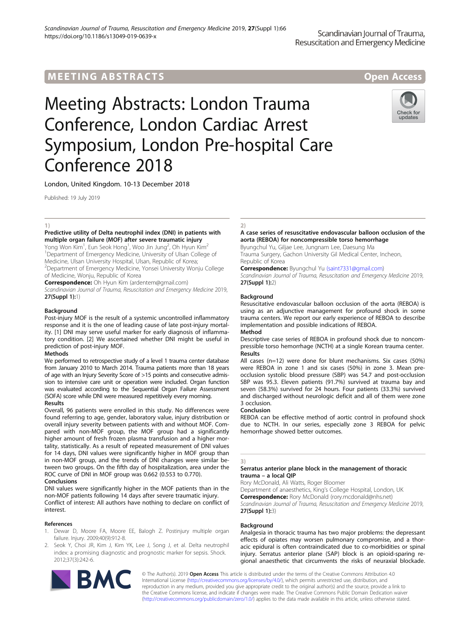# MEETING ABSTRACTS AND RESERVE THE SERVE AND THE SERVE ASSESSED AND RESERVE ASSESSED AND RESERVE ASSESSED AND RESERVE ASSESSED AND RESERVE ASSESSED AND RESERVE ASSESSED AND RESERVE ASSESSED AND RESERVE ASSESSED AND RESERVE

# Meeting Abstracts: London Trauma Conference, London Cardiac Arrest Symposium, London Pre-hospital Care Conference 2018



London, United Kingdom. 10-13 December 2018

Published: 19 July 2019

# 1)

# Predictive utility of Delta neutrophil index (DNI) in patients with multiple organ failure (MOF) after severe traumatic injury

Yong Won Kim<sup>1</sup>, Eun Seok Hong<sup>1</sup>, Woo Jin Jung<sup>2</sup>, Oh Hyun Kim<sup>2</sup> <sup>1</sup>Department of Emergency Medicine, University of Ulsan College of Medicine, Ulsan University Hospital, Ulsan, Republic of Korea; 2 Department of Emergency Medicine, Yonsei University Wonju College

of Medicine, Wonju, Republic of Korea

Correspondence: Oh Hyun Kim (ardentem@gmail.com)

Scandinavian Journal of Trauma, Resuscitation and Emergency Medicine 2019, 27(Suppl 1):1)

# Background

Post-injury MOF is the result of a systemic uncontrolled inflammatory response and it is the one of leading cause of late post-injury mortality. [1] DNI may serve useful marker for early diagnosis of inflammatory condition. [2] We ascertained whether DNI might be useful in prediction of post-injury MOF.

# Methods

We performed to retrospective study of a level 1 trauma center database from January 2010 to March 2014. Trauma patients more than 18 years of age with an Injury Severity Score of >15 points and consecutive admission to intensive care unit or operation were included. Organ function was evaluated according to the Sequential Organ Failure Assessment (SOFA) score while DNI were measured repetitively every morning. Results

Overall, 96 patients were enrolled in this study. No differences were found referring to age, gender, laboratory value, injury distribution or overall injury severity between patients with and without MOF. Compared with non-MOF group, the MOF group had a significantly higher amount of fresh frozen plasma transfusion and a higher mortality, statistically. As a result of repeated measurement of DNI values for 14 days, DNI values were significantly higher in MOF group than in non-MOF group, and the trends of DNI changes were similar between two groups. On the fifth day of hospitalization, area under the ROC curve of DNI in MOF group was 0.662 (0.553 to 0.770). Conclusions

DNI values were significantly higher in the MOF patients than in the non-MOF patients following 14 days after severe traumatic injury. Conflict of interest: All authors have nothing to declare on conflict of interest.

# References

- 1. Dewar D, Moore FA, Moore EE, Balogh Z. Postinjury multiple organ failure. Injury. 2009;40(9):912-8.
- Seok Y, Choi JR, Kim J, Kim YK, Lee J, Song J, et al. Delta neutrophil index: a promising diagnostic and prognostic marker for sepsis. Shock. 2012;37(3):242-6.



# 2)

# A case series of resuscitative endovascular balloon occlusion of the aorta (REBOA) for noncompressible torso hemorrhage

Byungchul Yu, Giljae Lee, Jungnam Lee, Daesung Ma Trauma Surgery, Gachon University Gil Medical Center, Incheon, Republic of Korea

Correspondence: Byungchul Yu [\(saint7331@gmail.com\)]((saint7331@gmail.com)

Scandinavian Journal of Trauma, Resuscitation and Emergency Medicine 2019, 27(Suppl 1):2)

# Background

Resuscitative endovascular balloon occlusion of the aorta (REBOA) is using as an adjunctive management for profound shock in some trauma centers. We report our early experience of REBOA to describe implementation and possible indications of REBOA.

# Method

Descriptive case series of REBOA in profound shock due to noncompressible torso hemorrhage (NCTH) at a single Korean trauma center. Results

All cases (n=12) were done for blunt mechanisms. Six cases (50%) were REBOA in zone 1 and six cases (50%) in zone 3. Mean preocclusion systolic blood pressure (SBP) was 54.7 and post-occlusion SBP was 95.3. Eleven patients (91.7%) survived at trauma bay and seven (58.3%) survived for 24 hours. Four patients (33.3%) survived and discharged without neurologic deficit and all of them were zone 3 occlusion.

# Conclusion

REBOA can be effective method of aortic control in profound shock due to NCTH. In our series, especially zone 3 REBOA for pelvic hemorrhage showed better outcomes.

# 3)

# Serratus anterior plane block in the management of thoracic trauma – a local QIP

Rory McDonald, Ali Watts, Roger Bloomer

Department of anaesthetics, King's College Hospital, London, UK **Correspondence:** Rory McDonald (rory.mcdonald@nhs.net) Scandinavian Journal of Trauma, Resuscitation and Emergency Medicine 2019, 27(Suppl 1):3)

# Background

Analgesia in thoracic trauma has two major problems: the depressant effects of opiates may worsen pulmonary compromise, and a thoracic epidural is often contraindicated due to co-morbidities or spinal injury. Serratus anterior plane (SAP) block is an opioid-sparing regional anaesthetic that circumvents the risks of neuraxial blockade.

© The Author(s). 2019 Open Access This article is distributed under the terms of the Creative Commons Attribution 4.0 International License ([http://creativecommons.org/licenses/by/4.0/\)](http://creativecommons.org/licenses/by/4.0/), which permits unrestricted use, distribution, and reproduction in any medium, provided you give appropriate credit to the original author(s) and the source, provide a link to the Creative Commons license, and indicate if changes were made. The Creative Commons Public Domain Dedication waiver ([http://creativecommons.org/publicdomain/zero/1.0/\)](http://creativecommons.org/publicdomain/zero/1.0/) applies to the data made available in this article, unless otherwise stated.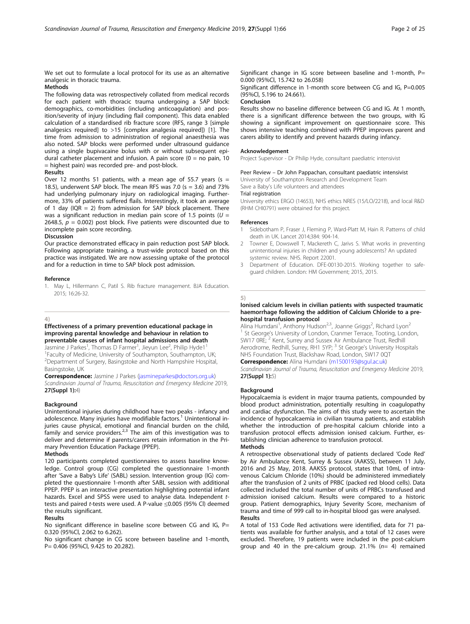We set out to formulate a local protocol for its use as an alternative analgesic in thoracic trauma.

#### Methods

The following data was retrospectively collated from medical records for each patient with thoracic trauma undergoing a SAP block: demographics, co-morbidities (including anticoagulation) and position/severity of injury (including flail component). This data enabled calculation of a standardised rib fracture score (RFS, range 3 [simple analgesics required] to >15 [complex analgesia required]) [1]. The time from admission to administration of regional anaesthesia was also noted. SAP blocks were performed under ultrasound guidance using a single bupivacaine bolus with or without subsequent epidural catheter placement and infusion. A pain score  $(0 = no \,\text{pain}, 10$ = highest pain) was recorded pre- and post-block.

# Results

Over 12 months 51 patients, with a mean age of 55.7 years (s = 18.5), underwent SAP block. The mean RFS was 7.0 ( $s = 3.6$ ) and 73% had underlying pulmonary injury on radiological imaging. Furthermore, 33% of patients suffered flails. Interestingly, it took an average of 1 day (IQR  $=$  2) from admission for SAP block placement. There was a significant reduction in median pain score of 1.5 points ( $U =$ 2648.5,  $p = 0.002$ ) post block. Five patients were discounted due to incomplete pain score recording.

#### Discussion

Our practice demonstrated efficacy in pain reduction post SAP block. Following appropriate training, a trust-wide protocol based on this practice was instigated. We are now assessing uptake of the protocol and for a reduction in time to SAP block post admission.

#### Reference

1. May L, Hillermann C, Patil S. Rib fracture management. BJA Education. 2015; 16:26-32.

#### 4)

# Effectiveness of a primary prevention educational package in improving parental knowledge and behaviour in relation to preventable causes of infant hospital admissions and death

Jasmine J Parkes<sup>1</sup>, Thomas D Farmer<sup>1</sup>, Jieyun Lee<sup>2</sup>, Philip Hyde1<sup>1</sup> 1 Faculty of Medicine, University of Southampton, Southampton, UK; 2 Department of Surgery, Basingstoke and North Hampshire Hospital, Basingstoke, UK

Correspondence: Jasmine J Parkes [\(jasmineparkes@doctors.org.uk\)](jasmineparkes@doctors.org.uk) Scandinavian Journal of Trauma, Resuscitation and Emergency Medicine 2019, 27(Suppl 1):4)

#### **Background**

Unintentional injuries during childhood have two peaks - infancy and adolescence. Many injuries have modifiable factors.<sup>1</sup> Unintentional injuries cause physical, emotional and financial burden on the child, family and service providers. $2,3$  The aim of this investigation was to deliver and determine if parents/carers retain information in the Primary Prevention Education Package (PPEP).

#### Methods

120 participants completed questionnaires to assess baseline knowledge. Control group (CG) completed the questionnaire 1-month after 'Save a Baby's Life' (SABL) session. Intervention group (IG) completed the questionnaire 1-month after SABL session with additional PPEP. PPEP is an interactive presentation highlighting potential infant hazards. Excel and SPSS were used to analyse data. Independent ttests and paired t-tests were used. A P-value ≤0.005 (95% Cl) deemed the results significant.

#### Results

No significant difference in baseline score between CG and IG,  $P=$ 0.320 (95%Cl, 2.062 to 6.262).

No significant change in CG score between baseline and 1-month, P= 0.406 (95%Cl, 9.425 to 20.282).

Significant change in IG score between baseline and 1-month,  $P=$ 0.000 (95%Cl, 15.742 to 26.058)

Significant difference in 1-month score between CG and IG, P=0.005 (95%Cl, 5.196 to 24.661).

#### Conclusion

Results show no baseline difference between CG and IG. At 1 month, there is a significant difference between the two groups, with IG showing a significant improvement on questionnaire score. This shows intensive teaching combined with PPEP improves parent and carers ability to identify and prevent hazards during infancy.

#### Acknowledgement

Project Supervisor - Dr Philip Hyde, consultant paediatric intensivist

#### Peer Review – Dr John Pappachan, consultant paediatric intensivist

University of Southampton Research and Development Team Save a Baby's Life volunteers and attendees

Trial registration

University ethics ERGO (14653), NHS ethics NRES (15/LO/2218), and local R&D (RHM CHI0791) were obtained for this project.

#### References

- 1 Sidebotham P, Fraser J, Fleming P, Ward-Platt M, Hain R. Patterns of child death in UK. Lancet 2014;384: 904-14.
- 2 Towner E, Dowswell T, Mackereth C, Jarivs S. What works in preventing unintentional injuries in children and young adolescents? An updated systemic review. NHS. Report 22001.
- Department of Education. DFE-00130-2015. Working together to safeguard children. London: HM Government; 2015, 2015.

#### 5)

#### Ionised calcium levels in civilian patients with suspected traumatic haemorrhage following the addition of Calcium Chloride to a prehospital transfusion protocol

Alina Humdani<sup>1</sup>, Anthony Hudson<sup>2,3</sup>, Joanne Griggs<sup>2</sup>, Richard Lyon<sup>2</sup> <sup>1</sup> St George's University of London, Cranmer Terrace, Tooting, London, SW17 0RE; <sup>2</sup> Kent, Surrey and Sussex Air Ambulance Trust, Redhill Aerodrome, Redhill, Surrey, RH1 5YP; <sup>3</sup> St George's University Hospitals NHS Foundation Trust, Blackshaw Road, London, SW17 0QT

Correspondence: Alina Humdani [\(m1500193@sgul.ac.uk](m1500193@sgul.ac.uk))

Scandinavian Journal of Trauma, Resuscitation and Emergency Medicine 2019, 27(Suppl 1):5)

#### Background

Hypocalcaemia is evident in major trauma patients, compounded by blood product administration, potentially resulting in coagulopathy and cardiac dysfunction. The aims of this study were to ascertain the incidence of hypocalcaemia in civilian trauma patients, and establish whether the introduction of pre-hospital calcium chloride into a transfusion protocol effects admission ionised calcium. Further, establishing clinician adherence to transfusion protocol.

# Methods

A retrospective observational study of patients declared 'Code Red' by Air Ambulance Kent, Surrey & Sussex (AAKSS), between 11 July, 2016 and 25 May, 2018. AAKSS protocol, states that 10mL of intravenous Calcium Chloride (10%) should be administered immediately after the transfusion of 2 units of PRBC (packed red blood cells). Data collected included the total number of units of PRBCs transfused and admission ionised calcium. Results were compared to a historic group. Patient demographics, Injury Severity Score, mechanism of trauma and time of 999 call to in-hospital blood gas were analysed. Results

A total of 153 Code Red activations were identified, data for 71 patients was available for further analysis, and a total of 12 cases were excluded. Therefore, 19 patients were included in the post-calcium group and 40 in the pre-calcium group. 21.1%  $(n= 4)$  remained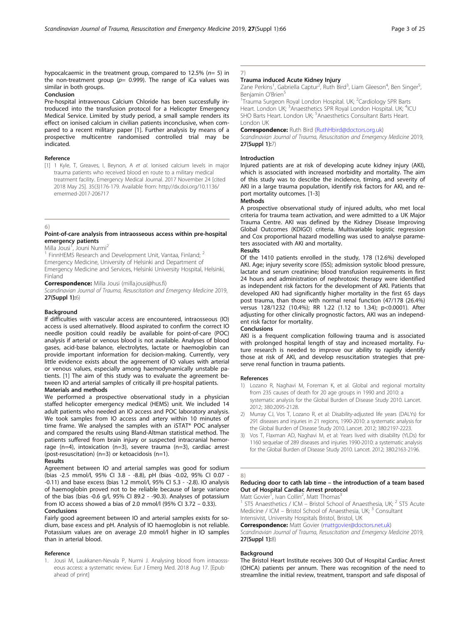hypocalcaemic in the treatment group, compared to 12.5% ( $n=5$ ) in the non-treatment group ( $p= 0.999$ ). The range of iCa values was similar in both groups.

# Conclusion

Pre-hospital intravenous Calcium Chloride has been successfully introduced into the transfusion protocol for a Helicopter Emergency Medical Service. Limited by study period, a small sample renders its effect on ionised calcium in civilian patients inconclusive, when compared to a recent military paper [1]. Further analysis by means of a prospective multicentre randomised controlled trial may be indicated.

# Reference

[1] 1 Kyle, T, Greaves, I, Beynon, A et al. lonised calcium levels in major trauma patients who received blood en route to a military medical treatment facility. Emergency Medical Journal. 2017 November 24 [cited 2018 May 25]. 35(3)176-179. Available from: http;//dx.doi.org/10.1136/ emermed-2017-206717

#### 6)

#### Point-of-care analysis from intraosseous access within pre-hospital emergency patients

Milla Jousi<sup>1</sup>, Jouni Nurmi<sup>2</sup>

FinnHEMS Research and Development Unit, Vantaa, Finland; <sup>2</sup>

Emergency Medicine, University of Helsinki and Department of

Emergency Medicine and Services, Helsinki University Hospital, Helsinki, Finland

Correspondence: Milla Jousi (milla.jousi@hus.fi)

Scandinavian Journal of Trauma, Resuscitation and Emergency Medicine 2019, 27(Suppl 1):6)

#### Background

If difficulties with vascular access are encountered, intraosseous (IO) access is used alternatively. Blood aspirated to confirm the correct IO needle position could readily be available for point-of-care (POC) analysis if arterial or venous blood is not available. Analyses of blood gases, acid-base balance, electrolytes, lactate or haemoglobin can provide important information for decision-making. Currently, very little evidence exists about the agreement of IO values with arterial or venous values, especially among haemodynamically unstable patients. [1] The aim of this study was to evaluate the agreement between IO and arterial samples of critically ill pre-hospital patients.

#### Materials and methods

We performed a prospective observational study in a physician staffed helicopter emergency medical (HEMS) unit. We included 14 adult patients who needed an IO access and POC laboratory analysis. We took samples from IO access and artery within 10 minutes of time frame. We analysed the samples with an iSTAT® POC analyser and compared the results using Bland-Altman statistical method. The patients suffered from brain injury or suspected intracranial hemorrage (n=4), intoxication (n=3), severe trauma (n=3), cardiac arrest (post-resuscitation) (n=3) or ketoacidosis (n=1).

#### Results

Agreement between IO and arterial samples was good for sodium (bias -2.5 mmol/l, 95% CI 3.8 - -8.8), pH (bias -0.02, 95% CI 0.07 - -0.11) and base excess (bias 1.2 mmol/l, 95% CI 5.3 - -2.8). IO analysis of haemoglobin proved not to be reliable because of large variance of the bias (bias -0.6 g/l, 95% CI 89.2 - -90.3). Analyses of potassium from IO access showed a bias of 2.0 mmol/l (95% CI 3.72 – 0.33).

# Conclusions

Fairly good agreement between IO and arterial samples exists for sodium, base excess and pH. Analysis of IO haemoglobin is not reliable. Potassium values are on average 2.0 mmol/l higher in IO samples than in arterial blood.

#### Reference

1. Jousi M, Laukkanen-Nevala P, Nurmi J. Analysing blood from intraossseous access: a systematic review. Eur J Emerg Med. 2018 Aug 17. [Epub ahead of print]

#### 7)

#### Trauma induced Acute Kidney Injury

Zane Perkins<sup>1</sup>, Gabriella Captur<sup>2</sup>, Ruth Bird<sup>3</sup>, Liam Gleeson<sup>4</sup>, Ben Singer<sup>5</sup> , Benjamin O'Brien<sup>5</sup>

<sup>1</sup>Trauma Surgeon Royal London Hospital. UK; <sup>2</sup>Cardiology SPR Barts Heart. London UK; <sup>3</sup>Anaesthetics SPR Royal London Hospital. UK; <sup>4</sup>ICU SHO Barts Heart. London UK; <sup>5</sup>Anaesthetics Consultant Barts Heart. London UK

# Correspondence: Ruth Bird [\(RuthHbird@doctors.org.uk](RuthHbird@doctors.org.uk))

Scandinavian Journal of Trauma, Resuscitation and Emergency Medicine 2019, 27(Suppl 1):7)

#### Introduction

Injured patients are at risk of developing acute kidney injury (AKI), which is associated with increased morbidity and mortality. The aim of this study was to describe the incidence, timing, and severity of AKI in a large trauma population, identify risk factors for AKI, and report mortality outcomes. [1-3]

#### Methods

A prospective observational study of injured adults, who met local criteria for trauma team activation, and were admitted to a UK Major Trauma Centre. AKI was defined by the Kidney Disease Improving Global Outcomes (KDIGO) criteria. Multivariable logistic regression and Cox proportional hazard modelling was used to analyse parameters associated with AKI and mortality.

# Results

Of the 1410 patients enrolled in the study, 178 (12.6%) developed AKI. Age; injury severity score (ISS); admission systolic blood pressure, lactate and serum creatinine; blood transfusion requirements in first 24 hours and administration of nephrotoxic therapy were identified as independent risk factors for the development of AKI. Patients that developed AKI had significantly higher mortality in the first 65 days post trauma, than those with normal renal function (47/178 (26.4%) versus 128/1232 (10.4%); RR 1.22 (1.12 to 1.34); p<0.0001). After adjusting for other clinically prognostic factors, AKI was an independent risk factor for mortality.

# Conclusions

AKI is a frequent complication following trauma and is associated with prolonged hospital length of stay and increased mortality. Future research is needed to improve our ability to rapidly identify those at risk of AKI, and develop resuscitation strategies that preserve renal function in trauma patients.

#### References

- 1) Lozano R, Naghavi M, Foreman K, et al. Global and regional mortality from 235 causes of death for 20 age groups in 1990 and 2010: a systematic analysis for the Global Burden of Disease Study 2010. Lancet. 2012; 380:2095-2128.
- 2) Murray CJ, Vos T, Lozano R, et al: Disability-adjusted life years (DALYs) for 291 diseases and injuries in 21 regions, 1990-2010: a systematic analysis for the Global Burden of Disease Study 2010. Lancet. 2012; 380:2197-2223.
- 3) Vos T, Flaxman AD, Naghavi M, et al: Years lived with disability (YLDs) for 1160 sequelae of 289 diseases and injuries 1990-2010: a systematic analysis for the Global Burden of Disease Study 2010. Lancet. 2012; 380:2163-2196.

#### 8)

# Reducing door to cath lab time – the introduction of a team based Out of Hospital Cardiac Arrest protocol

Matt Govier<sup>1</sup>, Ivan Collin<sup>2</sup>, Matt Thomas<sup>3</sup>

<sup>1</sup> ST5 Anaesthetics / ICM – Bristol School of Anaesthesia, UK;  $^2$  ST5 Acute Medicine / ICM – Bristol School of Anaesthesia, UK;  $3$  Consultant

Intensivist, University Hospitals Bristol, Bristol, UK **Correspondence:** Matt Govier [\(mattgovier@doctors.net.uk](mattgovier@doctors.net.uk))

Scandinavian Journal of Trauma, Resuscitation and Emergency Medicine 2019, 27(Suppl 1):8)

#### Background

The Bristol Heart Institute receives 300 Out of Hospital Cardiac Arrest (OHCA) patients per annum. There was recognition of the need to streamline the initial review, treatment, transport and safe disposal of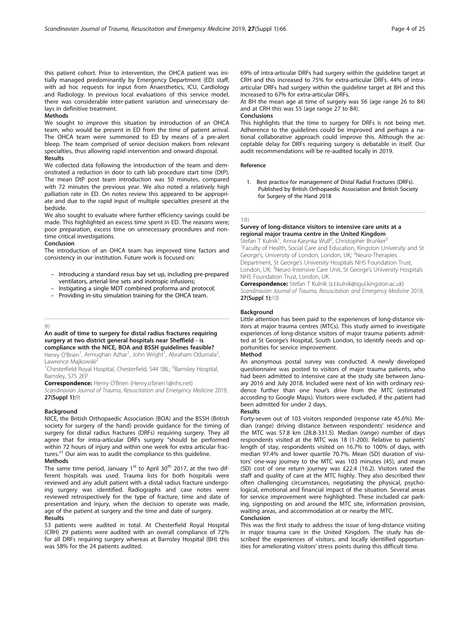this patient cohort. Prior to intervention, the OHCA patient was initially managed predominantly by Emergency Department (ED) staff, with ad hoc requests for input from Anaesthetics, ICU, Cardiology and Radiology. In previous local evaluations of this service model, there was considerable inter-patient variation and unnecessary delays in definitive treatment.

#### Methods

We sought to improve this situation by introduction of an OHCA team, who would be present in ED from the time of patient arrival. The OHCA team were summoned to ED by means of a pre-alert bleep. The team comprised of senior decision makers from relevant specialties, thus allowing rapid intervention and onward disposal.

# **Results**

We collected data following the introduction of the team and demonstrated a reduction in door to cath lab procedure start time (DtP). The mean DtP post team introduction was 50 minutes, compared with 72 minutes the previous year. We also noted a relatively high palliation rate in ED. On notes review this appeared to be appropriate and due to the rapid input of multiple specialties present at the bedside.

We also sought to evaluate where further efficiency savings could be made. This highlighted an excess time spent in ED. The reasons were; poor preparation, excess time on unnecessary procedures and nontime critical investigations.

#### Conclusion

The introduction of an OHCA team has improved time factors and consistency in our institution. Future work is focused on:

- Introducing a standard resus bay set up, including pre-prepared ventilators, arterial line sets and inotropic infusions;
- Instigating a single MDT combined proforma and protocol;
- Providing in-situ simulation training for the OHCA team.

#### 9)

An audit of time to surgery for distal radius fractures requiring surgery at two district general hospitals near Sheffield - is compliance with the NICE, BOA and BSSH guidelines feasible?

Henry O'Brien<sup>1</sup>, Armughan Azhar<sup>1</sup>, John Wright<sup>1</sup>, Abraham Odumala<sup>2</sup> , Lawrence Majkowski<sup>2</sup>

<sup>1</sup>Chesterfield Royal Hospital, Chesterfield, S44 5BL; <sup>2</sup>Barnsley Hospital, Barnsley, S75 2EP

Correspondence: Henry O'Brien (Henry.o'brien1@nhs.net)

Scandinavian Journal of Trauma, Resuscitation and Emergency Medicine 2019, 27(Suppl 1):9)

#### **Background**

NICE, the British Orthopaedic Association (BOA) and the BSSH (British society for surgery of the hand) provide guidance for the timing of surgery for distal radius fractures (DRFs) requiring surgery. They all agree that for intra-articular DRFs surgery "should be performed within 72 hours of injury and within one week for extra articular fractures." <sup>1</sup> Our aim was to audit the compliance to this guideline.

#### Methods

The same time period, January  $1<sup>st</sup>$  to April 30<sup>th</sup> 2017, at the two different hospitals was used. Trauma lists for both hospitals were reviewed and any adult patient with a distal radius fracture undergoing surgery was identified. Radiographs and case notes were reviewed retrospectively for the type of fracture, time and date of presentation and injury, when the decision to operate was made, age of the patient at surgery and the time and date of surgery.

#### Results

53 patients were audited in total. At Chesterfield Royal Hospital (CRH) 29 patients were audited with an overall compliance of 72% for all DRFs requiring surgery whereas at Barnsley Hospital (BH) this was 58% for the 24 patients audited.

69% of intra-articular DRFs had surgery within the guideline target at CRH and this increased to 75% for extra-articular DRFs. 44% of intraarticular DRFs had surgery within the guideline target at BH and this increased to 67% for extra-articular DRFs.

At BH the mean age at time of surgery was 56 (age range 26 to 84) and at CRH this was 55 (age range 27 to 84).

# Conclusions

This highlights that the time to surgery for DRFs is not being met. Adherence to the guidelines could be improved and perhaps a national collaborative approach could improve this. Although the acceptable delay for DRFs requiring surgery is debatable in itself. Our audit recommendations will be re-audited locally in 2019.

#### Reference

1. Best practice for management of Distal Radial Fractures (DRFs). Published by British Orthopaedic Association and British Society for Surgery of the Hand 2018

#### 10)

# Survey of long-distance visitors to intensive care units at a regional major trauma centre in the United Kingdom

Stefan T Kulnik<sup>1</sup>, Anna-Karynka Wulf<sup>2</sup>, Christopher Brunker<sup>3</sup> <sup>1</sup>Faculty of Health, Social Care and Education, Kingston University and St George's, University of London, London, UK; <sup>2</sup>Neuro-Therapies Department, St George's University Hospitals NHS Foundation Trust, London, UK; <sup>3</sup>Neuro Intensive Care Unit, St George's University Hospitals NHS Foundation Trust, London, UK

Correspondence: Stefan T Kulnik (s.t.kulnik@sgul.kingston.ac.uk) Scandinavian Journal of Trauma, Resuscitation and Emergency Medicine 2019, 27(Suppl 1):10)

#### Background

Little attention has been paid to the experiences of long-distance visitors at major trauma centres (MTCs). This study aimed to investigate experiences of long-distance visitors of major trauma patients admitted at St George's Hospital, South London, to identify needs and opportunities for service improvement.

# Method

An anonymous postal survey was conducted. A newly developed questionnaire was posted to visitors of major trauma patients, who had been admitted to intensive care at the study site between January 2016 and July 2018. Included were next of kin with ordinary residence further than one hour's drive from the MTC (estimated according to Google Maps). Visitors were excluded, if the patient had been admitted for under 2 days.

#### Results

Forty-seven out of 103 visitors responded (response rate 45.6%). Median (range) driving distance between respondents' residence and the MTC was 57.8 km (28.8-331.5). Median (range) number of days respondents visited at the MTC was 18 (1-200). Relative to patients' length of stay, respondents visited on 16.7% to 100% of days, with median 97.4% and lower quartile 70.7%. Mean (SD) duration of visitors' one-way journey to the MTC was 103 minutes (45), and mean (SD) cost of one return journey was £22.4 (16.2). Visitors rated the staff and quality of care at the MTC highly. They also described their often challenging circumstances, negotiating the physical, psychological, emotional and financial impact of the situation. Several areas for service improvement were highlighted. These included car parking, signposting on and around the MTC site, information provision, waiting areas, and accommodation at or nearby the MTC.

### Conclusion

This was the first study to address the issue of long-distance visiting in major trauma care in the United Kingdom. The study has described the experiences of visitors, and locally identified opportunities for ameliorating visitors' stress points during this difficult time.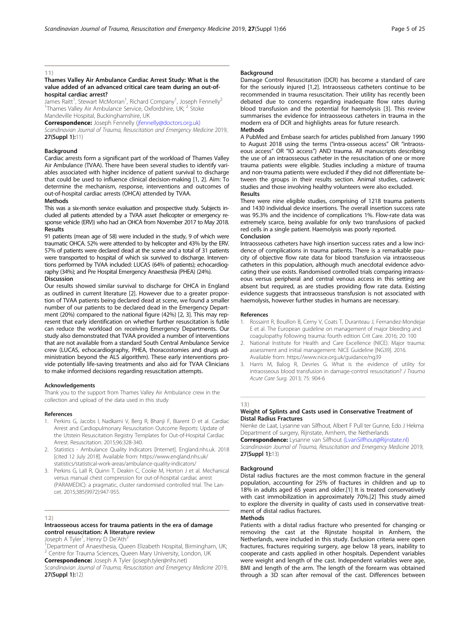#### Thames Valley Air Ambulance Cardiac Arrest Study: What is the value added of an advanced critical care team during an out-ofhospital cardiac arrest?

James Raitt<sup>1</sup>, Stewart McMorran<sup>1</sup>, Richard Company<sup>1</sup>, Joseph Fennelly<sup>2</sup> <sup>1</sup>Thames Valley Air Ambulance Service, Oxfordshire, UK; <sup>2</sup> Stoke Mandeville Hospital, Buckinghamshire, UK

Correspondence: Joseph Fennelly ([jfennelly@doctors.org.uk\)](jfennelly@doctors.org.uk)

Scandinavian Journal of Trauma, Resuscitation and Emergency Medicine 2019, 27(Suppl 1):11)

#### Background

Cardiac arrests form a significant part of the workload of Thames Valley Air Ambulance (TVAA). There have been several studies to identify variables associated with higher incidence of patient survival to discharge that could be used to influence clinical decision-making [1, 2]. Aim: To determine the mechanism, response, interventions and outcomes of out-of-hospital cardiac arrests (OHCA) attended by TVAA.

#### **Methods**

This was a six-month service evaluation and prospective study. Subjects included all patients attended by a TVAA asset (helicopter or emergency response vehicle (ERV)) who had an OHCA from November 2017 to May 2018. Results

91 patients (mean age of 58) were included in the study, 9 of which were traumatic OHCA. 52% were attended to by helicopter and 43% by the ERV. 57% of patients were declared dead at the scene and a total of 31 patients were transported to hospital of which six survived to discharge. Interventions performed by TVAA included: LUCAS (64% of patients); echocardiography (34%); and Pre Hospital Emergency Anaesthesia (PHEA) (24%).

# Discussion

Our results showed similar survival to discharge for OHCA in England as outlined in current literature [2]. However due to a greater proportion of TVAA patients being declared dead at scene, we found a smaller number of our patients to be declared dead in the Emergency Department (20%) compared to the national figure (42%) [2, 3]. This may represent that early identification on whether further resuscitation is futile can reduce the workload on receiving Emergency Departments. Our study also demonstrated that TVAA provided a number of interventions that are not available from a standard South Central Ambulance Service crew (LUCAS, echocardiography, PHEA, thoracostomies and drugs administration beyond the ALS algorithm). These early interventions provide potentially life-saving treatments and also aid for TVAA Clinicians to make informed decisions regarding resuscitation attempts.

#### Acknowledgements

Thank you to the support from Thames Valley Air Ambulance crew in the collection and upload of the data used in this study

#### References

- 1. Perkins G, Jacobs I, Nadkarni V, Berg R, Bhanji F, Biarent D et al. Cardiac Arrest and Cardiopulmonary Resuscitation Outcome Reports: Update of the Utstein Resuscitation Registry Templates for Out-of-Hospital Cardiac Arrest. Resuscitation. 2015;96:328-340.
- 2. Statistics Ambulance Quality Indicators [Internet]. England.nhs.uk. 2018 [cited 12 July 2018]. Available from: https://www.england.nhs.uk/ statistics/statistical-work-areas/ambulance-quality-indicators/
- 3. Perkins G, Lall R, Quinn T, Deakin C, Cooke M, Horton J et al. Mechanical versus manual chest compression for out-of-hospital cardiac arrest (PARAMEDIC): a pragmatic, cluster randomised controlled trial. The Lancet. 2015;385(9972):947-955.

#### 12)

# Intraosseous access for trauma patients in the era of damage control resuscitation: A literature review

Joseph A Tyler<sup>1</sup>, Henry D De'Ath<sup>2</sup>

<sup>1</sup>Department of Anaesthesia, Queen Elizabeth Hospital, Birmingham, UK; <sup>2</sup> Centre for Trauma Sciences, Queen Mary University, London, UK

Correspondence: Joseph A Tyler (joseph.tyler@nhs.net)

Scandinavian Journal of Trauma, Resuscitation and Emergency Medicine 2019, 27(Suppl 1):12)

#### Background

Damage Control Resuscitation (DCR) has become a standard of care for the seriously injured [1,2]. Intraosseous catheters continue to be recommended in trauma resuscitation. Their utility has recently been debated due to concerns regarding inadequate flow rates during blood transfusion and the potential for haemolysis [3]. This review summarises the evidence for intraosseous catheters in trauma in the modern era of DCR and highlights areas for future research. Methods

A PubMed and Embase search for articles published from January 1990 to August 2018 using the terms ("intra-osseous access" OR "intraosseous access" OR "IO access") AND trauma. All manuscripts describing the use of an intraosseous catheter in the resuscitation of one or more trauma patients were eligible. Studies including a mixture of trauma and non-trauma patients were excluded if they did not differentiate between the groups in their results section. Animal studies, cadaveric studies and those involving healthy volunteers were also excluded. Results

There were nine eligible studies, comprising of 1218 trauma patients and 1430 individual device insertions. The overall insertion success rate was 95.3% and the incidence of complications 1%. Flow-rate data was extremely scarce, being available for only two transfusions of packed red cells in a single patient. Haemolysis was poorly reported. Conclusion

Intraosseous catheters have high insertion success rates and a low incidence of complications in trauma patients. There is a remarkable paucity of objective flow rate data for blood transfusion via intraosseous catheters in this population, although much anecdotal evidence advocating their use exists. Randomised controlled trials comparing intraosseous versus peripheral and central venous access in this setting are absent but required, as are studies providing flow rate data. Existing evidence suggests that intraosseous transfusion is not associated with haemolysis, however further studies in humans are necessary.

#### References

- 1. Rossaint R, Bouillon B, Cerny V, Coats T, Duranteau J, Fernandez-Mondejar E et al. The European guideline on management of major bleeding and coagulopathy following trauma: fourth edition Crit Care. 2016; 20: 100
- 2. National Institute for Health and Care Excellence (NICE). Major trauma: assessment and initial management: NICE Guideline [NG39]. 2016. Available from: https://www.nice.org.uk/guidance/ng39
- 3. Harris M, Balog R, Devries G. What is the evidence of utility for intraosseous blood transfusion in damage-control resuscitation? J Trauma Acute Care Surg. 2013; 75: 904-6

#### 13)

#### Weight of Splints and Casts used in Conservative Treatment of Distal Radius Fractures

Nienke de Laat, Lysanne van Silfhout, Albert F Pull ter Gunne, Edo J Hekma Department of surgery, Rijnstate, Arnhem, the Netherlands

Correspondence: Lysanne van Silfhout [\(LvanSilfhout@Rijnstate.nl]((LvanSilfhout@Rijnstate.nl)) Scandinavian Journal of Trauma, Resuscitation and Emergency Medicine 2019, 27(Suppl 1):13)

#### Background

Distal radius fractures are the most common fracture in the general population, accounting for 25% of fractures in children and up to 18% in adults aged 65 years and older.[1] It is treated conservatively with cast immobilization in approximately 70%.[2] This study aimed to explore the diversity in quality of casts used in conservative treatment of distal radius fractures.

### Methods

Patients with a distal radius fracture who presented for changing or removing the cast at the Rijnstate hospital in Arnhem, the Netherlands, were included in this study. Exclusion criteria were open fractures, fractures requiring surgery, age below 18 years, inability to cooperate and casts applied in other hospitals. Dependent variables were weight and length of the cast. Independent variables were age, BMI and length of the arm. The length of the forearm was obtained through a 3D scan after removal of the cast. Differences between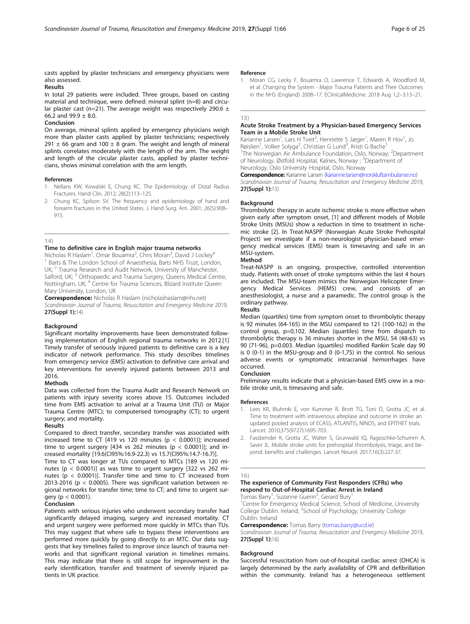casts applied by plaster technicians and emergency physicians were also assessed.

#### Results

In total 29 patients were included. Three groups, based on casting material and technique, were defined: mineral splint (n=8) and circular plaster cast (n=21). The average weight was respectively 290.6  $\pm$ 66.2 and  $99.9 \pm 8.0$ .

#### Conclusion

On average, mineral splints applied by emergency physicians weigh more than plaster casts applied by plaster technicians; respectively 291  $\pm$  66 gram and 100  $\pm$  8 gram. The weight and length of mineral splints correlates moderately with the length of the arm. The weight and length of the circular plaster casts, applied by plaster technicians, shows minimal correlation with the arm length.

#### References

- 1. Nellans KW, Kowalski E, Chung KC. The Epidemiology of Distal Radius Fractures. Hand Clin. 2012; 28(2):113–125.
- 2. Chung KC, Spilson SV. The frequency and epidemiology of hand and forearm fractures in the United States. J. Hand Surg. Am. 2001; 26(5):908– 915.

#### 14)

# Time to definitive care in English major trauma networks

Nicholas R Haslam<sup>1</sup>, Omar Bouamra<sup>2</sup>, Chris Moran<sup>3</sup>, David J Lockey<sup>4</sup> Barts & The London School of Anaesthesia, Barts NHS Trust, London, UK; <sup>2</sup> Trauma Research and Audit Network, University of Manchester, Salford, UK; <sup>3</sup> Orthopaedic and Trauma Surgery, Queens Medical Centre, Nottingham, UK; <sup>4</sup> Centre for Trauma Sciences, Blizard Institute Queen Mary University, London, UK

Correspondence: Nicholas R Haslam (nicholashaslam@nhs.net) Scandinavian Journal of Trauma, Resuscitation and Emergency Medicine 2019, 27(Suppl 1):14)

#### **Background**

Significant mortality improvements have been demonstrated following implementation of English regional trauma networks in 2012.[1] Timely transfer of seriously injured patients to definitive care is a key indicator of network performance. This study describes timelines from emergency service (EMS) activation to definitive care arrival and key interventions for severely injured patients between 2013 and 2016.

#### Methods

Data was collected from the Trauma Audit and Research Network on patients with injury severity scores above 15. Outcomes included time from EMS activation to arrival at a Trauma Unit (TU) or Major Trauma Centre (MTC); to computerised tomography (CT); to urgent surgery; and mortality.

#### Results

Compared to direct transfer, secondary transfer was associated with increased time to CT [419 vs 120 minutes ( $p < 0.0001$ )]; increased time to urgent surgery [434 vs 262 minutes ( $p < 0.0001$ )]; and increased mortality [19.6(CI95%:16.9-22.3) vs 15.7(CI95%:14.7-16.7)].

Time to CT was longer at TUs compared to MTCs [189 vs 120 minutes (p < 0.0001)] as was time to urgent surgery [322 vs 262 minutes ( $p < 0.0001$ )]. Transfer time and time to CT increased from 2013-2016 ( $p < 0.0005$ ). There was significant variation between regional networks for transfer time; time to CT; and time to urgent surgery (p < 0.0001).

#### Conclusion

Patients with serious injuries who underwent secondary transfer had significantly delayed imaging, surgery and increased mortality. CT and urgent surgery were performed more quickly in MTCs than TUs. This may suggest that where safe to bypass these interventions are performed more quickly by going directly to an MTC. Our data suggests that key timelines failed to improve since launch of trauma networks and that significant regional variation in timelines remains. This may indicate that there is still scope for improvement in the early identification, transfer and treatment of severely injured patients in UK practice.

#### Reference

1. Moran CG, Lecky F, Bouamra O, Lawrence T, Edwards A, Woodford M, et al. Changing the System - Major Trauma Patients and Their Outcomes in the NHS (England) 2008–17. EClinicalMedicine. 2018 Aug 1;2–3:13–21.

#### 15)

# Acute Stroke Treatment by a Physician-based Emergency Services Team in a Mobile Stroke Unit

Karianne Larsen<sup>1</sup>, Lars H Tveit<sup>2</sup>, Henriette S Jæger<sup>1</sup>, Maren R Hov<sup>1</sup>, Jo Røislien<sup>1</sup>, Volker Solyga<sup>2</sup>, Christian G Lund<sup>3</sup>, Kristi G Bache<sup>1</sup> <sup>1</sup>The Norwegian Air Ambulance Foundation, Oslo, Norway; <sup>2</sup>Department of Neurology, Østfold Hospital, Kalnes, Norway ; <sup>3</sup>Department of Neurology, Oslo University Hospital, Oslo, Norway

Correspondence: Karianne Larsen [\(karianne.larsen@norskluftambulanse.no]((karianne.larsen@norskluftambulanse.no)) Scandinavian Journal of Trauma, Resuscitation and Emergency Medicine 2019, 27(Suppl 1):15)

#### Background

Thrombolytic therapy in acute ischemic stroke is more effective when given early after symptom onset, [1] and different models of Mobile Stroke Units (MSUs) show a reduction in time to treatment in ischemic stroke [2]. In Treat-NASPP (Norwegian Acute Stroke Prehospital Project) we investigate if a non-neurologist physician-based emergency medical services (EMS) team is timesaving and safe in an MSU-system.

# Method

Treat-NASPP is an ongoing, prospective, controlled intervention study. Patients with onset of stroke symptoms within the last 4 hours are included. The MSU-team mimics the Norwegian Helicopter Emergency Medical Services (HEMS) crew, and consists of an anesthesiologist, a nurse and a paramedic. The control group is the ordinary pathway.

#### Results

Median (quartiles) time from symptom onset to thrombolytic therapy is 92 minutes (64-165) in the MSU compared to 121 (100-162) in the control group, p=0,102. Median (quartiles) time from dispatch to thrombolytic therapy is 36 minutes shorter in the MSU, 54 (48-63) vs 90 (71-96), p=0.003. Median (quartiles) modified Rankin Scale day 90 is 0 (0-1) in the MSU-group and 0 (0-1,75) in the control. No serious adverse events or symptomatic intracranial hemorrhages have occurred.

#### Conclusion

Preliminary results indicate that a physician-based EMS crew in a mobile stroke unit, is timesaving and safe.

#### References

- 1. Lees KR, Bluhmki E, von Kummer R, Brott TG, Toni D, Grotta JC, et al. Time to treatment with intravenous alteplase and outcome in stroke: an updated pooled analysis of ECASS, ATLANTIS, NINDS, and EPITHET trials. Lancet. 2010;375(9727):1695-703.
- 2. Fassbender K, Grotta JC, Walter S, Grunwald IQ, Ragoschke-Schumm A, Saver JL. Mobile stroke units for prehospital thrombolysis, triage, and beyond: benefits and challenges. Lancet Neurol. 2017;16(3):227-37.

#### 16)

# The experience of Community First Responders (CFRs) who respond to Out-of-Hospital Cardiac Arrest in Ireland

Tomas Barry<sup>1</sup>, Suzanne Guerin<sup>2</sup>, Gerard Bury<sup>1</sup>

<sup>1</sup>Centre for Emergency Medical Science, School of Medicine, University College Dublin. Ireland; <sup>2</sup>School of Psychology, University College Dublin. Ireland

Correspondence: Tomas Barry (<tomas.barry@ucd.ie>)

Scandinavian Journal of Trauma, Resuscitation and Emergency Medicine 2019, 27(Suppl 1):16)

#### Background

Successful resuscitation from out-of-hospital cardiac arrest (OHCA) is largely determined by the early availability of CPR and defibrillation within the community. Ireland has a heterogeneous settlement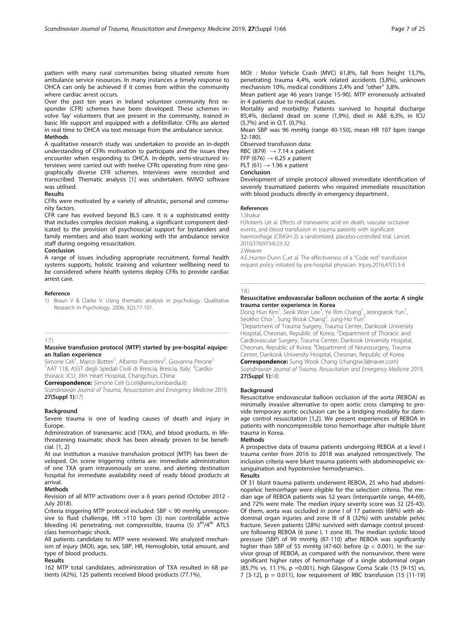pattern with many rural communities being situated remote from ambulance service resources. In many instances a timely response to OHCA can only be achieved if it comes from within the community where cardiac arrest occurs.

Over the past ten years in Ireland volunteer community first responder (CFR) schemes have been developed. These schemes involve 'lay' volunteers that are present in the community, trained in basic life support and equipped with a defibrillator. CFRs are alerted in real time to OHCA via text message from the ambulance service. Methods

#### A qualitative research study was undertaken to provide an in-depth understanding of CFRs motivation to participate and the issues they encounter when responding to OHCA. In-depth, semi-structured interviews were carried out with twelve CFRs operating from nine geographically diverse CFR schemes. Interviews were recorded and transcribed. Thematic analysis [1] was undertaken. NVIVO software was utilised.

#### Results

CFRs were motivated by a variety of altruistic, personal and community factors.

CFR care has evolved beyond BLS care. It is a sophisticated entity that includes complex decision making, a significant component dedicated to the provision of psychosocial support for bystanders and family members and also team working with the ambulance service staff during ongoing resuscitation.

#### Conclusion

A range of issues including appropriate recruitment, formal health systems supports, holistic training and volunteer wellbeing need to be considered where health systems deploy CFRs to provide cardiac arrest care.

#### Reference

1) Braun V & Clarke V. Using thematic analysis in psychology. Qualitative Research in Psychology. 2006; 3(2):77-101.

#### 17)

# Massive transfusion protocol (MTP) started by pre-hospital equipe: an Italian experience

Simone Celi<sup>1</sup>, Marco Botteri<sup>1</sup>, Alberto Piacentini<sup>2</sup>, Giovanna Perone<sup>1</sup> <sup>1</sup> AAT 118, ASST degli Spedali Civili di Brescia, Brescia, Italy; <sup>2</sup>Cardiothoracic ICU, Jilin Heart Hospital, Changchun, China

Correspondence: Simone Celi (s.celi@areu.lombardia.it)

Scandinavian Journal of Trauma, Resuscitation and Emergency Medicine 2019, 27(Suppl 1):17)

#### **Background**

Severe trauma is one of leading causes of death and injury in Europe.

Administration of tranexamic acid (TXA), and blood products, in lifethreatening traumatic shock has been already proven to be beneficial. [1, 2]

At our institution a massive transfusion protocol (MTP) has been developed. On scene triggering criteria are: immediate administration of one TXA gram intravenously on scene, and alerting destination hospital for immediate availability need of ready blood products at arrival.

#### **Methods**

Revision of all MTP activations over a 6 years period (October 2012 - July 2018).

Criteria triggering MTP protocol included: SBP < 90 mmHg unresponsive to fluid challenge, HR >110 bpm (3) non controllable active bleeding (4) penetrating, not compressible, trauma (5) 3<sup>th</sup>/4<sup>th</sup> ATLS class hemorrhagic shock.

All patients candidate to MTP were reviewed. We analyzed mechanism of injury (MOI), age, sex, SBP, HR, Hemoglobin, total amount, and type of blood products.

#### Results

162 MTP total candidates, administration of TXA resulted in 68 patients (42%), 125 patients received blood products (77.1%).

MOI: : Motor Vehicle Crash (MVC) 61,8%, fall from height 13,7%, penetrating trauma 4,4%, work related accidents (3,8%), unknown mechanism 10%, medical conditions 2,4% and "other" 3,8%.

Mean patient age 46 years (range 15-90). MTP erroneously activated in 4 patients due to medical causes.

Mortality and morbidity: Patients survived to hospital discharge 85,4%, declared dead on scene (1,9%), died in A&E 6,3%, in ICU (5,7%) and in O.T. (0,7%).

Mean SBP was 96 mmHg (range 40-150), mean HR 107 bpm (range 32-180).

Observed transfusion data:

RBC (879)  $\rightarrow$  7.14 x patient

FFP (676)  $\rightarrow$  6.25 x patient

PLT (61)  $\rightarrow$  1.96 x patient

Conclusion

Development of simple protocol allowed immediate identification of severely traumatized patients who required immediate resuscitation with blood products directly in emergency department.

# References

1.Shakur H,Roberts I,et al. Effects of tranexamic acid on death, vascular occlusive

events, and blood transfusion in trauma patients with significant haemorrhage (CRASH-2): a randomized, placebo-controlled trial. Lancet. 2010;376(9734):23-32

2.Weaver

A.E.,Hunter-Dunn C.,et al. The effectiveness of a "Code red" transfusion request policy initiated by pre-hospital physician. Injury,2016,47(1):3-6

#### 18)

# Resuscitative endovascular balloon occlusion of the aorta: A single trauma center experience in Korea

Dong Hun Kim<sup>1</sup>, Seok Won Lee<sup>1</sup>, Ye Rim Chang<sup>1</sup>, Jeongseok Yun<sup>1</sup> , Seokho Choi<sup>1</sup>, Sung Wook Chang<sup>2</sup>, Jung-Ho Yun<sup>3</sup>

<sup>1</sup>Department of Trauma Surgery, Trauma Center, Dankook University Hospital, Cheonan, Republic of Korea; <sup>2</sup>Department of Thoracic and Cardiovascular Surgery, Trauma Center, Dankook University Hospital, Cheonan, Republic of Korea; <sup>3</sup>Department of Neurosurgery, Trauma Center, Dankook University Hospital, Cheonan, Republic of Korea

**Correspondence:** Sung Wook Chang (changsw3@naver.com) Scandinavian Journal of Trauma, Resuscitation and Emergency Medicine 2019, 27(Suppl 1):18)

#### Background

Resuscitative endovascular balloon occlusion of the aorta (REBOA) as minimally invasive alternative to open aortic cross clamping to provide temporary aortic occlusion can be a bridging modality for damage control resuscitation [1,2]. We present experiences of REBOA in patients with noncompressible torso hemorrhage after multiple blunt trauma in Korea.

#### Methods

A prospective data of trauma patients undergoing REBOA at a level I trauma center from 2016 to 2018 was analyzed retrospectively. The inclusion criteria were blunt trauma patients with abdominopelvic exsanguination and hypotensive hemodynamics.

# Results

Of 31 blunt trauma patients underwent REBOA, 25 who had abdominopelvic hemorrhage were eligible for the selection criteria. The median age of REBOA patients was 52 years (interquartile range, 44-69), and 72% were male. The median injury severity score was 32 (25-43). Of them, aorta was occluded in zone I of 17 patients (68%) with abdominal organ injuries and zone III of 8 (32%) with unstable pelvic fracture. Seven patients (28%) survived with damage control procedure following REBOA (6 zone I, 1 zone III). The median systolic blood pressure (SBP) of 99 mmHg (87-110) after REBOA was significantly higher than SBP of 55 mmHg (47-60) before (p < 0.001). In the survivor group of REBOA, as compared with the nonsurvivor, there were significant higher rates of hemorrhage of a single abdominal organ (85.7% vs. 11.1%, p =0.001), high Glasgow Coma Scale (15 [9-15] vs. 7 [3-12], p = 0.011), low requirement of RBC transfusion (15 [11-19]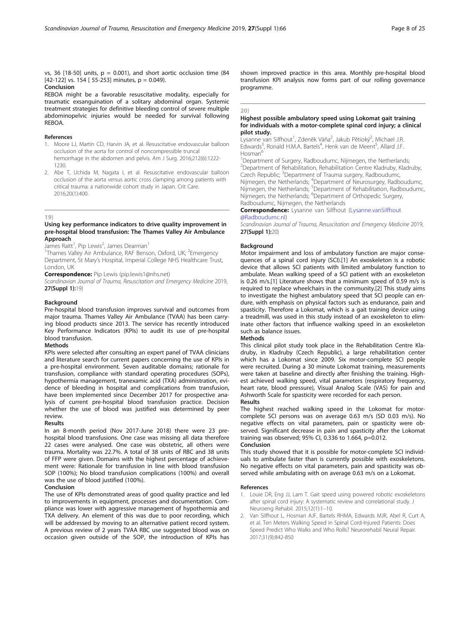vs, 36 [18-50] units,  $p = 0.001$ ), and short aortic occlusion time (84)  $[42-122]$  vs. 154 [ 55-253] minutes,  $p = 0.049$ ).

# Conclusion

REBOA might be a favorable resuscitative modality, especially for traumatic exsanguination of a solitary abdominal organ. Systemic treatment strategies for definitive bleeding control of severe multiple abdominopelvic injuries would be needed for survival following REBOA.

#### References

- 1. Moore LJ, Martin CD, Harvin JA, et al. Resuscitative endovascular balloon occlusion of the aorta for control of noncompressible truncal hemorrhage in the abdomen and pelvis. Am J Surg. 2016;212(6):1222- 1230.
- 2. Abe T, Uchida M, Nagata I, et al. Resuscitative endovascular balloon occlusion of the aorta versus aortic cross clamping among patients with critical trauma: a nationwide cohort study in Japan. Crit Care. 2016;20(1):400.

#### 19)

#### Using key performance indicators to drive quality improvement in pre-hospital blood transfusion: The Thames Valley Air Ambulance Approach

James Raitt<sup>1</sup>, Pip Lewis<sup>2</sup>, James Dearman<sup>1</sup>

<sup>1</sup>Thames Valley Air Ambulance, RAF Benson, Oxford, UK; <sup>2</sup>Emergency Department, St Mary's Hospital, Imperial College NHS Healthcare Trust, London, UK

Correspondence: Pip Lewis (pip.lewis1@nhs.net)

Scandinavian Journal of Trauma, Resuscitation and Emergency Medicine 2019, 27(Suppl 1):19)

#### Background

Pre-hospital blood transfusion improves survival and outcomes from major trauma. Thames Valley Air Ambulance (TVAA) has been carrying blood products since 2013. The service has recently introduced Key Performance Indicators (KPIs) to audit its use of pre-hospital blood transfusion.

#### Methods

KPIs were selected after consulting an expert panel of TVAA clinicians and literature search for current papers concerning the use of KPIs in a pre-hospital environment. Seven auditable domains; rationale for transfusion, compliance with standard operating procedures (SOPs), hypothermia management, tranexamic acid (TXA) administration, evidence of bleeding in hospital and complications from transfusion, have been implemented since December 2017 for prospective analysis of current pre-hospital blood transfusion practice. Decision whether the use of blood was justified was determined by peer review.

#### Results

In an 8-month period (Nov 2017-June 2018) there were 23 prehospital blood transfusions. One case was missing all data therefore 22 cases were analysed. One case was obstetric, all others were trauma. Mortality was 22.7%. A total of 38 units of RBC and 38 units of FFP were given. Domains with the highest percentage of achievement were: Rationale for transfusion in line with blood transfusion SOP (100%); No blood transfusion complications (100%) and overall was the use of blood justified (100%).

#### Conclusion

The use of KPIs demonstrated areas of good quality practice and led to improvements in equipment, processes and documentation. Compliance was lower with aggressive management of hypothermia and TXA delivery. An element of this was due to poor recording, which will be addressed by moving to an alternative patient record system. A previous review of 2 years TVAA RBC use suggested blood was on occasion given outside of the SOP, the introduction of KPIs has shown improved practice in this area. Monthly pre-hospital blood transfusion KPI analysis now forms part of our rolling governance programme.

#### $20$

# Highest possible ambulatory speed using Lokomat gait training for individuals with a motor-complete spinal cord injury; a clinical pilot study.

.<br>Lysanne van Silfhout<sup>1</sup>, Zdeněk Váňa<sup>2</sup>, Jakub Pětioký<sup>2</sup>, Michael J.R. Edwards<sup>3</sup>, Ronald H.M.A. Bartels<sup>4</sup>, Henk van de Meent<sup>5</sup>, Allard J.F. Hosman6

<sup>1</sup>Department of Surgery, Radboudumc, Nijmegen, the Netherlands 2 Department of Rehabilitation, Rehabilitation Centre Kladruby, Kladruby, Czech Republic; <sup>3</sup>Department of Trauma surgery, Radboudumc Nijmegen, the Netherlands; <sup>4</sup> Department of Neurosurgey, Radboudumc, Nijmegen, the Netherlands; <sup>5</sup>Department of Rehabilitation, Radboudumc, Nijmegen, the Netherlands; <sup>6</sup>Department of Orthopedic Surgery, Radboudumc, Nijmegen, the Netherlands

Correspondence: Lysanne van Silfhout ([Lysanne.vanSilfhout](Lysanne.vanSilfhout@Radboudumc.nl)

#### [@Radboudumc.nl\)](Lysanne.vanSilfhout@Radboudumc.nl)

Scandinavian Journal of Trauma, Resuscitation and Emergency Medicine 2019, 27(Suppl 1):20)

#### **Background**

Motor impairment and loss of ambulatory function are major consequences of a spinal cord injury (SCI).[1] An exoskeleton is a robotic device that allows SCI patients with limited ambulatory function to ambulate. Mean walking speed of a SCI patient with an exoskeleton is 0.26 m/s.[1] Literature shows that a minimum speed of 0.59 m/s is required to replace wheelchairs in the community.[2] This study aims to investigate the highest ambulatory speed that SCI people can endure, with emphasis on physical factors such as endurance, pain and spasticity. Therefore a Lokomat, which is a gait training device using a treadmill, was used in this study instead of an exoskeleton to eliminate other factors that influence walking speed in an exoskeleton such as balance issues.

#### **Methods**

This clinical pilot study took place in the Rehabilitation Centre Kladruby, in Kladruby (Czech Republic), a large rehabilitation center which has a Lokomat since 2009. Six motor-complete SCI people were recruited. During a 30 minute Lokomat training, measurements were taken at baseline and directly after finishing the training. Highest achieved walking speed, vital parameters (respiratory frequency, heart rate, blood pressure), Visual Analog Scale (VAS) for pain and Ashworth Scale for spasticity were recorded for each person. Results

The highest reached walking speed in the Lokomat for motorcomplete SCI persons was on average 0.63 m/s (SD 0.03 m/s). No negative effects on vital parameters, pain or spasticity were observed. Significant decrease in pain and spasticity after the Lokomat training was observed; 95% CI, 0.336 to 1.664, p=0.012. Conclusion

This study showed that it is possible for motor-complete SCI individuals to ambulate faster than is currently possible with exoskeletons. No negative effects on vital parameters, pain and spasticity was observed while ambulating with on average 0.63 m/s on a Lokomat.

#### References

- 1. Louie DR, Eng JJ, Lam T. Gait speed using powered robotic exoskeletons after spinal cord injury: A systematic review and correlational study. J Neuroeng Rehabil. 2015;12(1):1–10.
- 2. Van Silfhout L, Hosman AJF, Bartels RHMA, Edwards MJR, Abel R, Curt A, et al. Ten Meters Walking Speed in Spinal Cord-Injured Patients: Does Speed Predict Who Walks and Who Rolls? Neurorehabil Neural Repair. 2017;31(9):842-850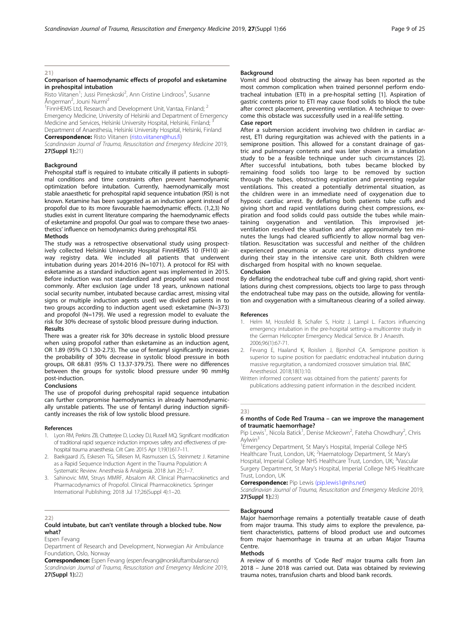# Comparison of haemodynamic effects of propofol and esketamine in prehospital intubation

Risto Viitanen<sup>1</sup>; Jussi Pirneskoski<sup>2</sup>, Ann Cristine Lindroos<sup>3</sup>, Susanne Ångerman<sup>2</sup>, Jouni Nurmi<sup>2</sup>

<sup>1</sup> FinnHEMS Ltd, Research and Development Unit, Vantaa, Finland; <sup>2</sup> Emergency Medicine, University of Helsinki and Department of Emergency Medicine and Services, Helsinki University Hospital, Helsinki, Finland; <sup>3</sup> Department of Anaesthesia, Helsinki University Hospital, Helsinki, Finland

Correspondence: Risto Viitanen ([risto.viitanen@hus.fi\)](risto.viitanen@hus.fi)

Scandinavian Journal of Trauma, Resuscitation and Emergency Medicine 2019, 27(Suppl 1):21)

#### **Background**

Prehospital staff is required to intubate critically ill patients in suboptimal conditions and time constraints often prevent haemodynamic optimization before intubation. Currently, haemodynamically most stable anaesthetic for prehospital rapid sequence intubation (RSI) is not known. Ketamine has been suggested as an induction agent instead of propofol due to its more favourable haemodynamic effects. (1,2,3) No studies exist in current literature comparing the haemodynamic effects of esketamine and propofol. Our goal was to compare these two anaesthetics' influence on hemodynamics during prehospital RSI.

#### Methods

The study was a retrospective observational study using prospectively collected Helsinki University Hospital FinnHEMS 10 (FH10) airway registry data. We included all patients that underwent intubation during years 2014-2016 (N=1071). A protocol for RSI with esketamine as a standard induction agent was implemented in 2015. Before induction was not standardized and propofol was used most commonly. After exclusion (age under 18 years, unknown national social security number, intubated because cardiac arrest, missing vital signs or multiple induction agents used) we divided patients in to two groups according to induction agent used: esketamine (N=373) and propofol (N=179). We used a regression model to evaluate the risk for 30% decrease of systolic blood pressure during induction. Results

There was a greater risk for 30% decrease in systolic blood pressure when using propofol rather than esketamine as an induction agent, OR 1.89 (95% CI 1.30-2.73). The use of fentanyl significantly increases the probability of 30% decrease in systolic blood pressure in both groups, OR 68.81 (95% CI 13.37-379.75). There were no differences between the groups for systolic blood pressure under 90 mmHg post-induction.

# Conclusions

The use of propofol during prehospital rapid sequence intubation can further compromise haemodynamics in already haemodynamically unstable patients. The use of fentanyl during induction significantly increases the risk of low systolic blood pressure.

#### References

- 1. Lyon RM, Perkins ZB, Chatterjee D, Lockey DJ, Russell MQ. Significant modification of traditional rapid sequence induction improves safety and effectiveness of prehospital trauma anaesthesia. Crit Care. 2015 Apr 1;19(1):617–11.
- 2. Baekgaard JS, Eskesen TG, Sillesen M, Rasmussen LS, Steinmetz J. Ketamine as a Rapid Sequence Induction Agent in the Trauma Population: A Systematic Review. Anesthesia & Analgesia. 2018 Jun 25;:1-7.
- Sahinovic MM, Struys MMRF, Absalom AR. Clinical Pharmacokinetics and Pharmacodynamics of Propofol. Clinical Pharmacokinetics. Springer International Publishing; 2018 Jul 17;26(Suppl 4):1–20.

#### 22)

# Could intubate, but can't ventilate through a blocked tube. Now what?

Espen Fevang

Department of Research and Development, Norwegian Air Ambulance Foundation, Oslo, Norway

Correspondence: Espen Fevang (espen.fevang@norskluftambulanse.no) Scandinavian Journal of Trauma, Resuscitation and Emergency Medicine 2019, 27(Suppl 1):22)

### Background

Vomit and blood obstructing the airway has been reported as the most common complication when trained personnel perform endotracheal intubation (ETI) in a pre-hospital setting [1]. Aspiration of gastric contents prior to ETI may cause food solids to block the tube after correct placement, preventing ventilation. A technique to overcome this obstacle was successfully used in a real-life setting. Case report

### After a submersion accident involving two children in cardiac arrest, ETI during regurgitation was achieved with the patients in a semiprone position. This allowed for a constant drainage of gastric and pulmonary contents and was later shown in a simulation study to be a feasible technique under such circumstances [2]. After successful intubations, both tubes became blocked by remaining food solids too large to be removed by suction through the tubes, obstructing expiration and preventing regular ventilations. This created a potentially detrimental situation, as the children were in an immediate need of oxygenation due to hypoxic cardiac arrest. By deflating both patients tube cuffs and giving short and rapid ventilations during chest compressions, expiration and food solids could pass outside the tubes while maintaining oxygenation and ventilation. This improvised jetventilation resolved the situation and after approximately ten minutes the lungs had cleared sufficiently to allow normal bag ventilation. Resuscitation was successful and neither of the children experienced pneumonia or acute respiratory distress syndrome during their stay in the intensive care unit. Both children were discharged from hospital with no known sequelae.

# Conclusion

By deflating the endotracheal tube cuff and giving rapid, short ventilations during chest compressions, objects too large to pass through the endotracheal tube may pass on the outside, allowing for ventilation and oxygenation with a simultaneous clearing of a soiled airway.

#### References

- 1. Helm M, Hossfeld B, Schafer S, Hoitz J, Lampl L. Factors influencing emergency intubation in the pre-hospital setting–a multicentre study in the German Helicopter Emergency Medical Service. Br J Anaesth. 2006;96(1):67-71.
- 2. Fevang E, Haaland K, Roislien J, Bjorshol CA. Semiprone position is superior to supine position for paediatric endotracheal intubation during massive regurgitation, a randomized crossover simulation trial. BMC Anesthesiol. 2018;18(1):10.
- Written informed consent was obtained from the patients' parents for publications addressing patient information in the described incident.

#### 23)

# 6 months of Code Red Trauma – can we improve the management of traumatic haemorrhage?

Pip Lewis<sup>1</sup>, Nicola Batick<sup>1</sup>, Denise Mckeown<sup>2</sup>, Fateha Chowdhury<sup>2</sup>, Chris Aylwin<sup>3</sup>

<sup>1</sup> Emergency Department, St Mary's Hospital, Imperial College NHS Healthcare Trust, London, UK; <sup>2</sup> Haematology Department, St Mary's Hospital, Imperial College NHS Healthcare Trust, London, UK; <sup>3</sup>Vascular Surgery Department, St Mary's Hospital, Imperial College NHS Healthcare Trust, London, UK

#### Correspondence: Pip Lewis [\(pip.lewis1@nhs.net\)]((pip.lewis1@nhs.net)

Scandinavian Journal of Trauma, Resuscitation and Emergency Medicine 2019, 27(Suppl 1):23)

#### Background

Major haemorrhage remains a potentially treatable cause of death from major trauma. This study aims to explore the prevalence, patient characteristics, patterns of blood product use and outcomes from major haemorrhage in trauma at an urban Major Trauma Centre.

# Methods

A review of 6 months of 'Code Red' major trauma calls from Jan 2018 – June 2018 was carried out. Data was obtained by reviewing trauma notes, transfusion charts and blood bank records.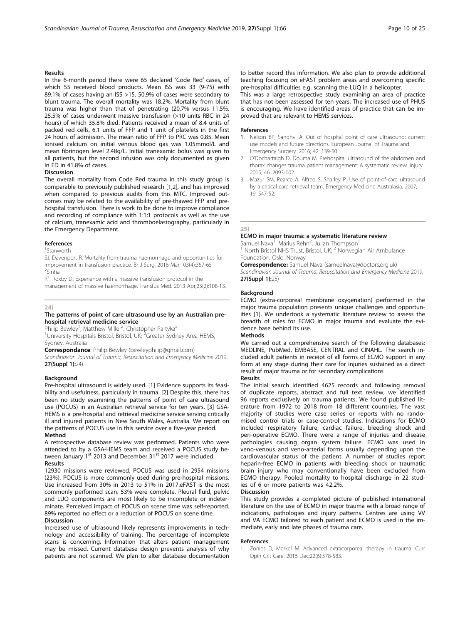# Results

In the 6-month period there were 65 declared 'Code Red' cases, of which 55 received blood products. Mean ISS was 33 (9-75) with 89.1% of cases having an ISS >15. 50.9% of cases were secondary to blunt trauma. The overall mortality was 18.2%. Mortality from blunt trauma was higher than that of penetrating (20.7% versus 11.5%. 25.5% of cases underwent massive transfusion (>10 units RBC in 24 hours) of which 35.8% died. Patients received a mean of 8.4 units of packed red cells, 6.1 units of FFP and 1 unit of platelets in the first 24 hours of admission. The mean ratio of FFP to PRC was 0.85. Mean ionised calcium on initial venous blood gas was 1.05mmol/L and mean fibrinogen level 2.48g/L. Initial tranexamic bolus was given to all patients, but the second infusion was only documented as given in ED in 41.8% of cases.

#### Discussion

The overall mortality from Code Red trauma in this study group is comparable to previously published research [1,2], and has improved when compared to previous audits from this MTC. Improved outcomes may be related to the availability of pre-thawed FFP and prehospital transfusion. There is work to be done to improve compliance and recording of compliance with 1:1:1 protocols as well as the use of calcium, tranexamic acid and thromboelastography, particularly in the Emergency Department.

#### References

1 Stanworth

SJ, Davenport R. Mortality from trauma haemorrhage and opportunities for improvement in transfusion practice. Br J Surg. 2016 Mar;103(4):357-65 2 Sinha

 $R<sup>1</sup>$ , Roxby D. Experience with a massive transfusion protocol in the management of massive haemorrhage. Transfus Med. 2013 Apr;23(2):108-13.

#### 24)

# The patterns of point of care ultrasound use by an Australian prehospital retrieval medicine service

Philip Bewley<sup>1</sup>, Matthew Miller<sup>2</sup>, Christopher Partyka<sup>2</sup>

<sup>1</sup>University Hospitals Bristol, Bristol, UK; <sup>2</sup>Greater Sydney Area HEMS, Sydney, Australia

Correspondance: Philip Bewley (bewleyphilip@gmail.com)

Scandinavian Journal of Trauma, Resuscitation and Emergency Medicine 2019, 27(Suppl 1):24)

#### **Background**

Pre-hospital ultrasound is widely used. [1] Evidence supports its feasibility and usefulness, particularly in trauma. [2] Despite this, there has been no study examining the patterns of point of care ultrasound use (POCUS) in an Australian retrieval service for ten years. [3] GSA-HEMS is a pre-hospital and retrieval medicine service serving critically ill and injured patients in New South Wales, Australia. We report on the patterns of POCUS use in this service over a five-year period. Method

A retrospective database review was performed. Patients who were attended to by a GSA-HEMS team and received a POCUS study between January 1st 2013 and December 31st 2017 were included.

# Results

12930 missions were reviewed. POCUS was used in 2954 missions (23%). POCUS is more commonly used during pre-hospital missions. Use increased from 30% in 2013 to 51% in 2017.eFAST is the most commonly performed scan. 53% were complete. Pleural fluid, pelvic and LUQ components are most likely to be incomplete or indeterminate. Perceived impact of POCUS on scene time was self-reported. 89% reported no effect or a reduction of POCUS on scene time.

# Discussion

Increased use of ultrasound likely represents improvements in technology and accessibility of training. The percentage of incomplete scans is concerning. Information that alters patient management may be missed. Current database design prevents analysis of why patients are not scanned. We plan to alter database documentation

to better record this information. We also plan to provide additional teaching focusing on eFAST problem areas and overcoming specific pre-hospital difficulties e.g. scanning the LUQ in a helicopter.

This was a large retrospective study examining an area of practice that has not been assessed for ten years. The increased use of PHUS is encouraging. We have identified areas of practice that can be improved that are relevant to HEMS services.

#### References

- 1. Nelson BP, Sanghvi A. Out of hospital point of care ultrasound: current use models and future directions. European Journal of Trauma and Emergency Surgery. 2016; 42: 139-50
- 2. O'Dochartaigh D, Douma M. Prehospital ultrasound of the abdomen and thorax changes trauma patient management: A systematic review. Injury. 2015; 46: 2093-102.
- 3. Mazur SM, Pearce A, Alfred S, Sharley P. Use of point-of-care ultrasound by a critical care retrieval team. Emergency Medicine Australasia. 2007; 19: 547-52.

#### $25$

# ECMO in major trauma: a systematic literature review

Samuel Nava<sup>1</sup>, Marius Rehn<sup>2</sup>, Julian Thompson<sup>1</sup>  $1$  North Bristol NHS Trust, Bristol, UK;  $2$  Norwegian Air Ambulance Foundation, Oslo, Norway

**Correspondence:** Samuel Nava (samuelnava@doctors.org.uk)

Scandinavian Journal of Trauma, Resuscitation and Emergency Medicine 2019, 27(Suppl 1):25)

#### Background

ECMO (extra-corporeal membrane oxygenation) performed in the major trauma population presents unique challenges and opportunities [1]. We undertook a systematic literature review to assess the breadth of roles for ECMO in major trauma and evaluate the evidence base behind its use.

#### **Methods**

We carried out a comprehensive search of the following databases: MEDLINE, PubMed, EMBASE, CENTRAL and CINAHL. The search included adult patients in receipt of all forms of ECMO support in any form at any stage during their care for injuries sustained as a direct result of major trauma or for secondary complications

Results

The initial search identified 4625 records and following removal of duplicate reports, abstract and full text review, we identified 96 reports exclusively on trauma patients. We found published literature from 1972 to 2018 from 18 different countries. The vast majority of studies were case series or reports with no randomised control trials or case-control studies. Indications for ECMO included respiratory failure, cardiac failure, bleeding shock and peri-operative ECMO. There were a range of injuries and disease pathologies causing organ system failure. ECMO was used in veno-venous and veno-arterial forms usually depending upon the cardiovascular status of the patient. A number of studies report heparin-free ECMO in patients with bleeding shock or traumatic brain injury who may conventionally have been excluded from ECMO therapy. Pooled mortality to hospital discharge in 22 studies of 6 or more patients was 42.2%.

#### Discussion

This study provides a completed picture of published international literature on the use of ECMO in major trauma with a broad range of indications, pathologies and injury patterns. Centres are using VV and VA ECMO tailored to each patient and ECMO is used in the immediate, early and late phases of trauma care.

#### **References**

Zonies D, Merkel M. Advanced extracorporeal therapy in trauma. Curr Opin Crit Care. 2016 Dec;22(6):578-583.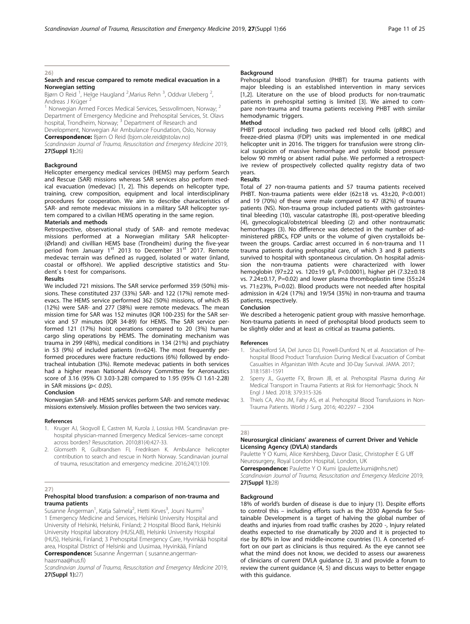# Search and rescue compared to remote medical evacuation in a Norwegian setting

Bjørn O Reid<sup>-1</sup>, Helge Haugland <sup>2</sup>, Marius Rehn<sup>3</sup>, Oddvar Uleberg<sup>2</sup> , Andreas J Krüger <sup>2</sup>

Norwegian Armed Forces Medical Services, Sessvollmoen, Norway; <sup>2</sup> Department of Emergency Medicine and Prehospital Services, St. Olavs hospital, Trondheim, Norway; <sup>3</sup> Department of Research and Development, Norwegian Air Ambulance Foundation, Oslo, Norway

Correspondence: Bjørn O Reid (bjorn.ole.reid@stolav.no)

Scandinavian Journal of Trauma, Resuscitation and Emergency Medicine 2019, 27(Suppl 1):26)

#### **Background**

Helicopter emergency medical services (HEMS) may perform Search and Rescue (SAR) missions whereas SAR services also perform medical evacuation (medevac) [1, 2]. This depends on helicopter type, training, crew composition, equipment and local interdisciplinary procedures for cooperation. We aim to describe characteristics of SAR- and remote medevac missions in a military SAR helicopter system compared to a civilian HEMS operating in the same region. Materials and methods

# Retrospective, observational study of SAR- and remote medevac missions performed at a Norwegian military SAR helicopter- (Ørland) and civillian HEMS base (Trondheim) during the five-year period from January 1<sup>st</sup> 2013 to December 31<sup>st</sup> 2017. Remote medevac terrain was defined as rugged, isolated or water (inland, coastal or offshore). We applied descriptive statistics and Student`s t-test for comparisons.

#### Results

We included 721 missions. The SAR service performed 359 (50%) missions. These constituted 237 (33%) SAR- and 122 (17%) remote medevacs. The HEMS service performed 362 (50%) missions, of which 85 (12%) were SAR- and 277 (38%) were remote medevacs. The mean mission time for SAR was 152 minutes (IQR 100-235) for the SAR service and 57 minutes (IQR 34-89) for HEMS. The SAR service performed 121 (17%) hoist operations compared to 20 (3%) human cargo sling operations by HEMS. The dominating mechanism was trauma in 299 (48%), medical conditions in 134 (21%) and psychiatry in 53 (9%) of included patients (n=624). The most frequently performed procedures were fracture reductions (6%) followed by endotracheal intubation (3%). Remote medevac patients in both services had a higher mean National Advisory Committee for Aeronautics score of 3.16 (95% CI 3.03-3.28) compared to 1.95 (95% CI 1.61-2.28) in SAR missions ( $p$  < 0.05).

#### Conclusion

Norwegian SAR- and HEMS services perform SAR- and remote medevac missions extensively. Mission profiles between the two services vary.

#### References

- Kruger AJ, Skogvoll E, Castren M, Kurola J, Lossius HM. Scandinavian prehospital physician-manned Emergency Medical Services–same concept across borders? Resuscitation. 2010;81(4):427-33.
- 2. Glomseth R, Gulbrandsen FI, Fredriksen K. Ambulance helicopter contribution to search and rescue in North Norway. Scandinavian journal of trauma, resuscitation and emergency medicine. 2016;24(1):109.

#### $27)$

# Prehospital blood transfusion: a comparison of non-trauma and trauma patients

Susanne Ångerman<sup>1</sup>, Katja Salmela<sup>2</sup>, Hetti Kirves<sup>3</sup>, Jouni Nurmi<sup>1</sup> 1 Emergency Medicine and Services, Helsinki University Hospital and University of Helsinki, Helsinki, Finland; 2 Hospital Blood Bank, Helsinki University Hospital laboratory (HUSLAB), Helsinki University Hospital (HUS), Helsinki, Finland; 3 Prehospital Emergency Care, Hyvinkää hospital area, Hospital District of Helsinki and Uusimaa, Hyvinkää, Finland Correspondence: Susanne Ångerman ( susanne.angermanhaasmaa@hus.fi)

Scandinavian Journal of Trauma, Resuscitation and Emergency Medicine 2019, 27(Suppl 1):27)

## Background

Prehospital blood transfusion (PHBT) for trauma patients with major bleeding is an established intervention in many services [1,2]. Literature on the use of blood products for non-traumatic patients in prehospital setting is limited [3]. We aimed to compare non-trauma and trauma patients receiving PHBT with similar hemodynamic triggers.

# Method

PHBT protocol including two packed red blood cells (pRBC) and freeze-dried plasma (FDP) units was implemented in one medical helicopter unit in 2016. The triggers for transfusion were strong clinical suspicion of massive hemorrhage and systolic blood pressure below 90 mmHg or absent radial pulse. We performed a retrospective review of prospectively collected quality registry data of two years.

#### Results

Total of 27 non-trauma patients and 57 trauma patients received PHBT. Non-trauma patients were elder (62±18 vs. 43±20, P<0.001) and 19 (70%) of these were male compared to 47 (82%) of trauma patients (NS). Non-trauma group included patients with gastrointestinal bleeding (10), vascular catastrophe (8), post-operative bleeding (4), gynecological/obstetrical bleeding (2) and other nontraumatic hemorrhages (3). No difference was detected in the number of administered pRBCs, FDP units or the volume of given crystalloids between the groups. Cardiac arrest occurred in 6 non-trauma and 11 trauma patients during prehospital care, of which 3 and 8 patients survived to hospital with spontaneous circulation. On hospital admission the non-trauma patients were characterized with lower hemoglobin (97±22 vs. 120±19 g/l, P<0.0001), higher pH (7.32±0.18 vs. 7.24 $\pm$ 0.17, P=0.02) and lower plasma thromboplastin time (55 $\pm$ 24 vs. 71±23%, P=0.02). Blood products were not needed after hospital admission in 4/24 (17%) and 19/54 (35%) in non-trauma and trauma patients, respectively.

#### Conclusion

We described a heterogenic patient group with massive hemorrhage. Non-trauma patients in need of prehospital blood products seem to be slightly older and at least as critical as trauma patients.

#### References

- 1. Shackelford SA, Del Junco DJ, Powell-Dunford N, et al. Association of Prehospital Blood Product Transfusion During Medical Evacuation of Combat Casualties in Afganistan With Acute and 30-Day Survival. JAMA. 2017; 318:1581-1591
- 2. Sperry JL, Guyette FX, Brown JB, et al. Prehospital Plasma during Air Medical Transport in Trauma Patients at Risk for Hemorrhagic Shock. N Engl J Med. 2018; 379:315-326
- 3. Thiels CA, Aho JM, Fahy AS, et al. Prehospital Blood Transfusions in Non-Trauma Patients. World J Surg. 2016; 40:2297 – 2304

#### 28)

#### Neurosurgical clinicians' awareness of current Driver and Vehicle Licensing Agency (DVLA) standards

Paulette Y O Kumi, Alice Kershberg, Davor Dasic, Christopher E G Uff Neurosurgery, Royal London Hospital, London, UK

Correspondence: Paulette Y O Kumi (paulette.kumi@nhs.net)

Scandinavian Journal of Trauma, Resuscitation and Emergency Medicine 2019, 27(Suppl 1):28)

#### Background

18% of world's burden of disease is due to injury (1). Despite efforts to control this – including efforts such as the 2030 Agenda for Sustainable Development is a target of halving the global number of deaths and injuries from road traffic crashes by 2020 -, Injury related deaths expected to rise dramatically by 2020 and it is projected to rise by 80% in low and middle-income countries (1). A concerted effort on our part as clinicians is thus required. As the eye cannot see what the mind does not know, we decided to assess our awareness of clinicians of current DVLA guidance (2, 3) and provide a forum to review the current guidance (4, 5) and discuss ways to better engage with this guidance.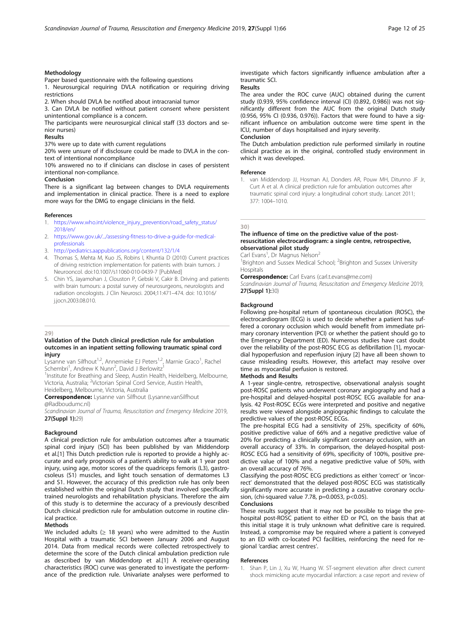# Methodology

Paper based questionnaire with the following questions

1. Neurosurgical requiring DVLA notification or requiring driving restrictions

2. When should DVLA be notified about intracranial tumor

3. Can DVLA be notified without patient consent where persistent unintentional compliance is a concern.

The participants were neurosurgical clinical staff (33 doctors and senior nurses)

#### Results

37% were up to date with current regulations

20% were unsure of if disclosure could be made to DVLA in the context of intentional noncompliance

10% answered no to if clinicians can disclose in cases of persistent intentional non-compliance.

#### Conclusion

There is a significant lag between changes to DVLA requirements and implementation in clinical practice. There is a need to explore more ways for the DMG to engage clinicians in the field.

#### References

- 1. [https://www.who.int/violence\\_injury\\_prevention/road\\_safety\\_status/](https://www.who.int/violence_injury_prevention/road_safety_status/2018/en/) [2018/en/](https://www.who.int/violence_injury_prevention/road_safety_status/2018/en/)
- 2. [https://www.gov.uk/.../assessing-fitness-to-drive-a-guide-for-medical](https://www.gov.uk/assessing-fitness-to-drive-a-guide-for-medical-professionals)[professionals](https://www.gov.uk/assessing-fitness-to-drive-a-guide-for-medical-professionals)
- 3. <http://pediatrics.aappublications.org/content/132/1/4>
- 4. Thomas S, Mehta M, Kuo JS, Robins I, Khuntia D (2010) Current practices of driving restriction implementation for patients with brain tumors. J Neurooncol. doi:10.1007/s11060-010-0439-7 [PubMed]
- 5. Chin YS, Jayamohan J, Clouston P, Gebski V, Cakir B. Driving and patients with brain tumours: a postal survey of neurosurgeons, neurologists and radiation oncologists. J Clin Neurosci. 2004;11:471–474. doi: 10.1016/ j.jocn.2003.08.010.

#### $29$

#### Validation of the Dutch clinical prediction rule for ambulation outcomes in an inpatient setting following traumatic spinal cord injury

Lysanne van Silfhout<sup>1,2</sup>, Annemieke EJ Peters<sup>1,2</sup>, Marnie Graco<sup>1</sup>, Rachel Schembri<sup>1</sup>, Andrew K Nunn<sup>2</sup>, David J Berlowitz<sup>1</sup>

<sup>1</sup>Institute for Breathing and Sleep, Austin Health, Heidelberg, Melbourne, Victoria, Australia; <sup>2</sup>Victorian Spinal Cord Service, Austin Health, Heidelberg, Melbourne, Victoria, Australia

**Correspondence:** Lysanne van Silfhout (Lysanne.vanSilfhout @Radboudumc.nl)

Scandinavian Journal of Trauma, Resuscitation and Emergency Medicine 2019, 27(Suppl 1):29)

#### **Background**

A clinical prediction rule for ambulation outcomes after a traumatic spinal cord injury (SCI) has been published by van Middendorp et al.[1] This Dutch prediction rule is reported to provide a highly accurate and early prognosis of a patient's ability to walk at 1 year post injury, using age, motor scores of the quadriceps femoris (L3), gastrocsoleus (S1) muscles, and light touch sensation of dermatomes L3 and S1. However, the accuracy of this prediction rule has only been established within the original Dutch study that involved specifically trained neurologists and rehabilitation physicians. Therefore the aim of this study is to determine the accuracy of a previously described Dutch clinical prediction rule for ambulation outcome in routine clinical practice.

#### Methods

We included adults  $(≥ 18$  years) who were admitted to the Austin Hospital with a traumatic SCI between January 2006 and August 2014. Data from medical records were collected retrospectively to determine the score of the Dutch clinical ambulation prediction rule as described by van Middendorp et al.[1] A receiver-operating characteristics (ROC) curve was generated to investigate the performance of the prediction rule. Univariate analyses were performed to

investigate which factors significantly influence ambulation after a traumatic SCI.

# Results

The area under the ROC curve (AUC) obtained during the current study (0.939, 95% confidence interval (CI) (0.892, 0.986)) was not significantly different from the AUC from the original Dutch study (0.956, 95% CI (0.936, 0.976)). Factors that were found to have a significant influence on ambulation outcome were time spent in the ICU, number of days hospitalised and injury severity.

# Conclusion

The Dutch ambulation prediction rule performed similarly in routine clinical practice as in the original, controlled study environment in which it was developed.

#### Reference

1. van Middendorp JJ, Hosman AJ, Donders AR, Pouw MH, Ditunno JF Jr, Curt A et al. A clinical prediction rule for ambulation outcomes after traumatic spinal cord injury: a longitudinal cohort study. Lancet 2011; 377: 1004–1010.

### 30)

# The influence of time on the predictive value of the postresuscitation electrocardiogram: a single centre, retrospective, observational pilot study

Carl Evans<sup>1</sup>, Dr Magnus Nelson<sup>2</sup>

<sup>1</sup>Brighton and Sussex Medical School; <sup>2</sup>Brighton and Sussex University **Hospitals** 

Correspondence: Carl Evans (carl.t.evans@me.com)

Scandinavian Journal of Trauma, Resuscitation and Emergency Medicine 2019, 27(Suppl 1):30)

#### Background

Following pre-hospital return of spontaneous circulation (ROSC), the electrocardiogram (ECG) is used to decide whether a patient has suffered a coronary occlusion which would benefit from immediate primary coronary intervention (PCI) or whether the patient should go to the Emergency Department (ED). Numerous studies have cast doubt over the reliability of the post-ROSC ECG as defibrillation [1], myocardial hypoperfusion and reperfusion injury [2] have all been shown to cause misleading results. However, this artefact may resolve over time as myocardial perfusion is restored.

#### Methods and Results

A 1-year single-centre, retrospective, observational analysis sought post-ROSC patients who underwent coronary angiography and had a pre-hospital and delayed-hospital post-ROSC ECG available for analysis. 42 Post-ROSC ECGs were interpreted and positive and negative results were viewed alongside angiographic findings to calculate the predictive values of the post-ROSC ECGs.

The pre-hospital ECG had a sensitivity of 25%, specificity of 60%, positive predictive value of 66% and a negative predictive value of 20% for predicting a clinically significant coronary occlusion, with an overall accuracy of 33%. In comparison, the delayed-hospital post-ROSC ECG had a sensitivity of 69%, specificity of 100%, positive predictive value of 100% and a negative predictive value of 50%, with an overall accuracy of 76%.

Classifying the post-ROSC ECG predictions as either 'correct' or 'incorrect' demonstrated that the delayed post-ROSC ECG was statistically significantly more accurate in predicting a causative coronary occlusion, (chi-squared value 7.78, p=0.0053, p<0.05).

Conclusions

These results suggest that it may not be possible to triage the prehospital post-ROSC patient to either ED or PCI, on the basis that at this initial stage it is truly unknown what definitive care is required. Instead, a compromise may be required where a patient is conveyed to an ED with co-located PCI facilities, reinforcing the need for regional 'cardiac arrest centres'.

#### References

1. Shan P, Lin J, Xu W, Huang W. ST-segment elevation after direct current shock mimicking acute myocardial infarction: a case report and review of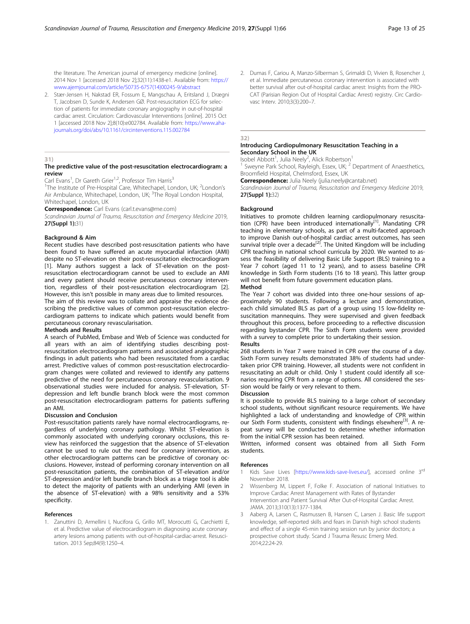2. Stær-Jensen H, Nakstad ER, Fossum E, Mangschau A, Eritsland J, Drægni T, Jacobsen D, Sunde K, Andersen GØ. Post-resuscitation ECG for selection of patients for immediate coronary angiography in out-of-hospital cardiac arrest. Circulation: Cardiovascular Interventions [online]. 2015 Oct 1 [accessed 2018 Nov 2];8(10):e002784. Available from: [https://www.aha](https://www.ahajournals.org/doi/abs/10.1161/circinterventions.115.002784)[journals.org/doi/abs/10.1161/circinterventions.115.002784](https://www.ahajournals.org/doi/abs/10.1161/circinterventions.115.002784)

# 31)

#### The predictive value of the post-resuscitation electrocardiogram: a review

Carl Evans<sup>1</sup>, Dr Gareth Grier<sup>1,2</sup>, Professor Tim Harris<sup>3</sup>

<sup>1</sup>The Institute of Pre-Hospital Care, Whitechapel, London, UK; <sup>2</sup>London's Air Ambulance, Whitechapel, London, UK; <sup>3</sup>The Royal London Hospital, Whitechapel, London, UK

Correspondence: Carl Evans (carl.t.evans@me.com)

Scandinavian Journal of Trauma, Resuscitation and Emergency Medicine 2019, 27(Suppl 1):31)

# Background & Aim

Recent studies have described post-resuscitation patients who have been found to have suffered an acute myocardial infarction (AMI) despite no ST-elevation on their post-resuscitation electrocardiogram [1]. Many authors suggest a lack of ST-elevation on the postresuscitation electrocardiogram cannot be used to exclude an AMI and every patient should receive percutaneous coronary intervention, regardless of their post-resuscitation electrocardiogram [2]. However, this isn't possible in many areas due to limited resources.

The aim of this review was to collate and appraise the evidence describing the predictive values of common post-resuscitation electrocardiogram patterns to indicate which patients would benefit from percutaneous coronary revascularisation.

# Methods and Results

A search of PubMed, Embase and Web of Science was conducted for all years with an aim of identifying studies describing postresuscitation electrocardiogram patterns and associated angiographic findings in adult patients who had been resuscitated from a cardiac arrest. Predictive values of common post-resuscitation electrocardiogram changes were collated and reviewed to identify any patterns predictive of the need for percutaneous coronary revascularisation. 9 observational studies were included for analysis. ST-elevation, STdepression and left bundle branch block were the most common post-resuscitation electrocardiogram patterns for patients suffering an AMI.

#### Discussion and Conclusion

Post-resuscitation patients rarely have normal electrocardiograms, regardless of underlying coronary pathology. Whilst ST-elevation is commonly associated with underlying coronary occlusions, this review has reinforced the suggestion that the absence of ST-elevation cannot be used to rule out the need for coronary intervention, as other electrocardiogram patterns can be predictive of coronary occlusions. However, instead of performing coronary intervention on all post-resuscitation patients, the combination of ST-elevation and/or ST-depression and/or left bundle branch block as a triage tool is able to detect the majority of patients with an underlying AMI (even in the absence of ST-elevation) with a 98% sensitivity and a 53% specificity.

# References

1. Zanuttini D, Armellini I, Nucifora G, Grillo MT, Morocutti G, Carchietti E, et al. Predictive value of electrocardiogram in diagnosing acute coronary artery lesions among patients with out-of-hospital-cardiac-arrest. Resuscitation. 2013 Sep;84(9):1250–4.

2. Dumas F, Cariou A, Manzo-Silberman S, Grimaldi D, Vivien B, Rosencher J, et al. Immediate percutaneous coronary intervention is associated with better survival after out-of-hospital cardiac arrest: Insights from the PRO-CAT (Parisian Region Out of Hospital Cardiac Arrest) registry. Circ Cardiovasc Interv. 2010;3(3):200–7.

#### 32)

#### Introducing Cardiopulmonary Resuscitation Teaching in a Secondary School in the UK

Isobel Abbott<sup>1</sup>, Julia Neely<sup>2</sup>, Alick Robertson<sup>1</sup>

Sweyne Park School, Rayleigh, Essex, UK; <sup>2</sup> Department of Anaesthetics, Broomfield Hospital, Chelmsford, Essex, UK

**Correspondence:** Julia Neely (julia.neely@cantab.net)

Scandinavian Journal of Trauma, Resuscitation and Emergency Medicine 2019, 27(Suppl 1):32)

#### **Background**

Initiatives to promote children learning cardiopulmonary resuscitation (CPR) have been introduced internationally<sup>[1]</sup>. Mandating CPR teaching in elementary schools, as part of a multi-faceted approach to improve Danish out-of-hospital cardiac arrest outcomes, has seen survival triple over a decade<sup>[2]</sup>. The United Kingdom will be including CPR teaching in national school curricula by 2020. We wanted to assess the feasibility of delivering Basic Life Support (BLS) training to a Year 7 cohort (aged 11 to 12 years), and to assess baseline CPR knowledge in Sixth Form students (16 to 18 years). This latter group will not benefit from future government education plans.

#### Method

The Year 7 cohort was divided into three one-hour sessions of approximately 90 students. Following a lecture and demonstration, each child simulated BLS as part of a group using 15 low-fidelity resuscitation mannequins. They were supervised and given feedback throughout this process, before proceeding to a reflective discussion regarding bystander CPR. The Sixth Form students were provided with a survey to complete prior to undertaking their session.

# Results

268 students in Year 7 were trained in CPR over the course of a day. Sixth Form survey results demonstrated 38% of students had undertaken prior CPR training. However, all students were not confident in resuscitating an adult or child. Only 1 student could identify all scenarios requiring CPR from a range of options. All considered the session would be fairly or very relevant to them.

#### Discussion

It is possible to provide BLS training to a large cohort of secondary school students, without significant resource requirements. We have highlighted a lack of understanding and knowledge of CPR within our Sixth Form students, consistent with findings elsewhere<sup>[3]</sup>. A repeat survey will be conducted to determine whether information from the initial CPR session has been retained.

Written, informed consent was obtained from all Sixth Form students.

#### References

- Kids Save Lives [\[https://www.kids-save-lives.eu/\]](https://www.kids-save-lives.eu/), accessed online 3<sup>rd</sup> November 2018.
- 2 Wissenberg M, Lippert F, Folke F. Association of national Initiatives to Improve Cardiac Arrest Management with Rates of Bystander Intervention and Patient Survival After Out-of-Hospital Cardiac Arrest. JAMA. 2013;310(13):1377-1384.
- 3 Aaberg A, Larsen C, Rasmussen B, Hansen C, Larsen J. Basic life support knowledge, self-reported skills and fears in Danish high school students and effect of a single 45-min training session run by junior doctors; a prospective cohort study. Scand J Trauma Resusc Emerg Med. 2014;22:24-29.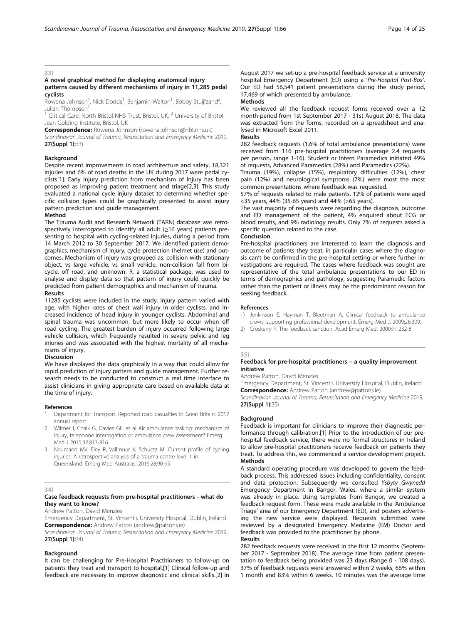#### A novel graphical method for displaying anatomical injury patterns caused by different mechanisms of injury in 11,285 pedal cyclists

Rowena Johnson<sup>1</sup>, Nick Dodds<sup>1</sup>, Benjamin Walton<sup>1</sup>, Bobby Stuijfzand<sup>2</sup> , Julian Thompson<sup>1</sup>

<sup>1</sup> Critical Care, North Bristol NHS Trust, Bristol, UK;  $^2$  University of Bristol Jean Golding Institute, Bristol, UK

Correspondence: Rowena Johnson (rowena.johnson@nbt.nhs.uk)

Scandinavian Journal of Trauma, Resuscitation and Emergency Medicine 2019, 27(Suppl 1):33)

# Background

Despite recent improvements in road architecture and safety, 18,321 injuries and 6% of road deaths in the UK during 2017 were pedal cyclists[1]. Early injury prediction from mechanism of injury has been proposed as improving patient treatment and triage[2,3]. This study evaluated a national cycle injury dataset to determine whether specific collision types could be graphically presented to assist injury pattern prediction and guide management.

#### Method

The Trauma Audit and Research Network (TARN) database was retrospectively interrogated to identify all adult (>16 years) patients presenting to hospital with cycling-related injuries, during a period from 14 March 2012 to 30 September 2017. We identified patient demographics, mechanism of injury, cycle protection (helmet use) and outcomes. Mechanism of injury was grouped as: collision with stationary object, vs large vehicle, vs small vehicle, non-collision fall from bicycle, off road, and unknown. R, a statistical package, was used to analyse and display data so that pattern of injury could quickly be predicted from patient demographics and mechanism of trauma.

#### Results

11285 cyclists were included in the study. Injury pattern varied with age, with higher rates of chest wall injury in older cyclists, and increased incidence of head injury in younger cyclists. Abdominal and spinal trauma was uncommon, but more likely to occur when off road cycling. The greatest burden of injury occurred following large vehicle collision, which frequently resulted in severe pelvic and leg injuries and was associated with the highest mortality of all mechanisms of injury.

#### Discussion

We have displayed the data graphically in a way that could allow for rapid prediction of injury pattern and guide management. Further research needs to be conducted to construct a real time interface to assist clinicians in giving appropriate care based on available data at the time of injury.

#### References

- 1. Department for Transport. Reported road casualties in Great Britain: 2017 annual report.
- 2. Wilmer I, Chalk G, Davies GE, et al Air ambulance tasking: mechanism of injury, telephone interrogation or ambulance crew assessment? Emerg Med J 2015;32:813-816.
- 3. Neumann MV, Eley R, Vallmuur K, Schuetz M. Current profile of cycling injuries: A retrospective analysis of a trauma centre level 1 in Queensland. Emerg Med Australas. 2016;28:90-95

#### 34)

# Case feedback requests from pre-hospital practitioners - what do they want to know?

Andrew Patton, David Menzies

Emergency Department, St. Vincent's University Hospital, Dublin, Ireland **Correspondence:** Andrew Patton (andrew@pattons.ie)

Scandinavian Journal of Trauma, Resuscitation and Emergency Medicine 2019, 27(Suppl 1):34)

#### Background

It can be challenging for Pre-Hospital Practitioners to follow-up on patients they treat and transport to hospital.[1] Clinical follow-up and feedback are necessary to improve diagnostic and clinical skills.[2] In August 2017 we set-up a pre-hospital feedback service at a university hospital Emergency Department (ED) using a 'Pre-Hospital Post-Box'. Our ED had 56,541 patient presentations during the study period, 17,469 of which presented by ambulance.

#### Methods

We reviewed all the feedback request forms received over a 12 month period from 1st September 2017 - 31st August 2018. The data was extracted from the forms, recorded on a spreadsheet and analysed in Microsoft Excel 2011.

# Results

282 feedback requests (1.6% of total ambulance presentations) were received from 116 pre-hospital practitioners (average 2.4 requests per person, range 1-16). Student or Intern Paramedics initiated 49% of requests, Advanced Paramedics (28%) and Paramedics (22%).

Trauma (19%), collapse (15%), respiratory difficulties (12%), chest pain (12%) and neurological symptoms (7%) were most the most common presentations where feedback was requested.

57% of requests related to male patients, 12% of patients were aged <35 years, 44% (35-65 years) and 44% (>65 years).

The vast majority of requests were regarding the diagnosis, outcome and ED management of the patient, 4% enquired about ECG or blood results, and 9% radiology results. Only 7% of requests asked a specific question related to the case.

# Conclusion

Pre-hospital practitioners are interested to learn the diagnosis and outcome of patients they treat, in particular cases where the diagnosis can't be confirmed in the pre-hospital setting or where further investigations are required. The cases where feedback was sought are representative of the total ambulance presentations to our ED in terms of demographics and pathology, suggesting Paramedic factors rather than the patient or illness may be the predominant reason for seeking feedback.

#### References

- 1) Jenkinson E, Hayman T, Bleetman A. Clinical feedback to ambulance crews: supporting professional development. Emerg Med J. 2009;26:309.
- 2) Croskerry P. The feedback sanction. Acad Emerg Med. 2000;7:1232-8.

#### 35)

# Feedback for pre-hospital practitioners – a quality improvement initiative

Andrew Patton, David Menzies

Emergency Department, St. Vincent's University Hospital, Dublin, Ireland **Correspondence:** Andrew Patton (andrew@pattons.ie)

Scandinavian Journal of Trauma, Resuscitation and Emergency Medicine 2019, 27(Suppl 1):35)

#### **Background**

Feedback is important for clinicians to improve their diagnostic performance through calibration.[1] Prior to the introduction of our prehospital feedback service, there were no formal structures in Ireland to allow pre-hospital practitioners receive feedback on patients they treat. To address this, we commenced a service development project. Methods

A standard operating procedure was developed to govern the feedback process. This addressed issues including confidentiality, consent and data protection. Subsequently we consulted Ysbyty Gwynedd Emergency Department in Bangor, Wales, where a similar system was already in place. Using templates from Bangor, we created a feedback request form. These were made available in the 'Ambulance Triage' area of our Emergency Department (ED), and posters advertising the new service were displayed. Requests submitted were reviewed by a designated Emergency Medicine (EM) Doctor and feedback was provided to the practitioner by phone.

#### Results

282 feedback requests were received in the first 12 months (September 2017 - September 2018). The average time from patient presentation to feedback being provided was 23 days (Range 0 - 108 days). 37% of feedback requests were answered within 2 weeks, 66% within 1 month and 83% within 6 weeks. 10 minutes was the average time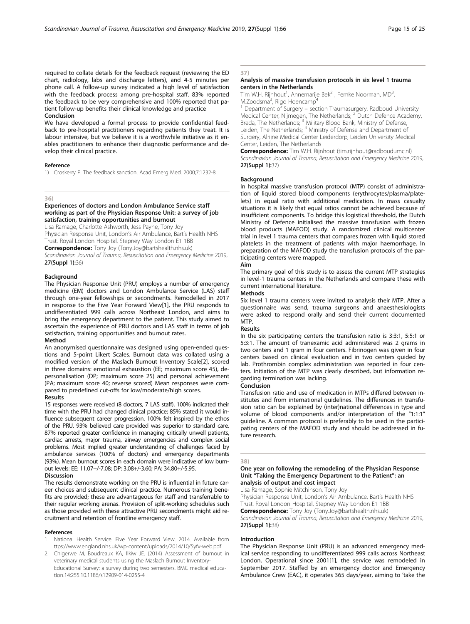required to collate details for the feedback request (reviewing the ED chart, radiology, labs and discharge letters), and 4-5 minutes per phone call. A follow-up survey indicated a high level of satisfaction with the feedback process among pre-hospital staff. 83% reported the feedback to be very comprehensive and 100% reported that patient follow-up benefits their clinical knowledge and practice Conclusion

# We have developed a formal process to provide confidential feedback to pre-hospital practitioners regarding patients they treat. It is labour intensive, but we believe it is a worthwhile initiative as it enables practitioners to enhance their diagnostic performance and develop their clinical practice.

#### Reference

1) Croskerry P. The feedback sanction. Acad Emerg Med. 2000;7:1232-8.

#### 36)

# Experiences of doctors and London Ambulance Service staff working as part of the Physician Response Unit: a survey of job satisfaction, training opportunities and burnout

Lisa Ramage, Charlotte Ashworth, Jess Payne, Tony Joy Physician Response Unit, London's Air Ambulance, Bart's Health NHS Trust. Royal London Hospital, Stepney Way London E1 1BB

**Correspondence:** Tony Joy (Tony.Joy@bartshealth.nhs.uk)

Scandinavian Journal of Trauma, Resuscitation and Emergency Medicine 2019, 27(Suppl 1):36)

#### Background

The Physician Response Unit (PRU) employs a number of emergency medicine (EM) doctors and London Ambulance Service (LAS) staff through one-year fellowships or secondments. Remodelled in 2017 in response to the Five Year Forward View[1], the PRU responds to undifferentiated 999 calls across Northeast London, and aims to bring the emergency department to the patient. This study aimed to ascertain the experience of PRU doctors and LAS staff in terms of job satisfaction, training opportunities and burnout rates.

#### Method

An anonymised questionnaire was designed using open-ended questions and 5-point Likert Scales. Burnout data was collated using a modified version of the Maslach Burnout Inventory Scale[2], scored in three domains: emotional exhaustion (EE; maximum score 45), depersonalisation (DP; maximum score 25) and personal achievement (PA; maximum score 40; reverse scored) Mean responses were compared to predefined cut-offs for low/moderate/high scores.

# Results

15 responses were received (8 doctors, 7 LAS staff). 100% indicated their time with the PRU had changed clinical practice; 85% stated it would influence subsequent career progression. 100% felt inspired by the ethos of the PRU. 93% believed care provided was superior to standard care. 87% reported greater confidence in managing critically unwell patients, cardiac arrests, major trauma, airway emergencies and complex social problems. Most implied greater understanding of challenges faced by ambulance services (100% of doctors) and emergency departments (93%). Mean burnout scores in each domain were indicative of low burnout levels: EE: 11.07+/-7.08; DP: 3.08+/-3.60; PA: 34.80+/-5.95.

# Discussion

The results demonstrate working on the PRU is influential in future career choices and subsequent clinical practice. Numerous training benefits are provided; these are advantageous for staff and transferrable to their regular working arenas. Provision of split-working schedules such as those provided with these attractive PRU secondments might aid recruitment and retention of frontline emergency staff.

#### References

- 1. National Health Service. Five Year Forward View. 2014. Available from ttps://www.england.nhs.uk/wp-content/uploads/2014/10/5yfv-web.pdf
- 2. Chigerwe M, Boudreaux KA, Ilkiw JE. (2014) Assessment of burnout in veterinary medical students using the Maslach Burnout Inventory-Educational Survey: a survey during two semesters. BMC medical education.14:255.10.1186/s12909-014-0255-4

#### 37)

#### Analysis of massive transfusion protocols in six level 1 trauma centers in the Netherlands

Tim W.H. Rijnhout<sup>1</sup>, Annemarije Bek<sup>2</sup> , Femke Noorman, MD<sup>3</sup> , M.Zoodsma<sup>3</sup>, Rigo Hoencamp<sup>4</sup>

Department of Surgery – section Traumasurgery, Radboud University Medical Center, Nijmegen, The Netherlands; <sup>2</sup> Dutch Defence Academy, Breda, The Netherlands; <sup>3</sup> Military Blood Bank, Ministry of Defense, Leiden, The Netherlands; <sup>4</sup> Ministry of Defense and Department of Surgery, Alrijne Medical Center Leiderdorp, Leiden University Medical Center, Leiden, The Netherlands

Correspondence: Tim W.H. Rijnhout (tim.rijnhout@radboudumc.nl) Scandinavian Journal of Trauma, Resuscitation and Emergency Medicine 2019, 27(Suppl 1):37)

#### **Background**

In hospital massive transfusion protocol (MTP) consist of administration of liquid stored blood components (erythrocytes/plasma/platelets) in equal ratio with additional medication. In mass casualty situations it is likely that equal ratios cannot be achieved because of insufficient components. To bridge this logistical threshold, the Dutch Ministry of Defence initialised the massive transfusion with frozen blood products (MAFOD) study. A randomized clinical multicenter trial in level 1 trauma centers that compares frozen with liquid stored platelets in the treatment of patients with major haemorrhage. In preparation of the MAFOD study the transfusion protocols of the participating centers were mapped.

# Aim

The primary goal of this study is to assess the current MTP strategies in level-1 trauma centers in the Netherlands and compare these with current international literature.

# Methods

Six level 1 trauma centers were invited to analysis their MTP. After a questionnaire was send, trauma surgeons and anaesthesiologists were asked to respond orally and send their current documented MTP.

#### Results

In the six participating centers the transfusion ratio is 3:3:1, 5:5:1 or 5:3:1. The amount of tranexamic acid administered was 2 grams in two centers and 1 gram in four centers. Fibrinogen was given in four centers based on clinical evaluation and in two centers guided by lab. Prothrombin complex administration was reported in four centers. Initiation of the MTP was clearly described, but information regarding termination was lacking.

#### Conclusion

Transfusion ratio and use of medication in MTPs differed between institutes and from international guidelines. The differences in transfusion ratio can be explained by (inter)national differences in type and volume of blood components and/or interpretation of the "1:1:1" guideline. A common protocol is preferably to be used in the participating centers of the MAFOD study and should be addressed in future research.

#### 38)

# One year on following the remodeling of the Physician Response Unit "Taking the Emergency Department to the Patient": an analysis of output and cost impact

Lisa Ramage, Sophie Mitchinson, Tony Joy Physician Response Unit, London's Air Ambulance, Bart's Health NHS Trust. Royal London Hospital, Stepney Way London E1 1BB Correspondence: Tony Joy (Tony.Joy@bartshealth.nhs.uk) Scandinavian Journal of Trauma, Resuscitation and Emergency Medicine 2019, 27(Suppl 1):38)

#### Introduction

The Physician Response Unit (PRU) is an advanced emergency medical service responding to undifferentiated 999 calls across Northeast London. Operational since 2001[1], the service was remodeled in September 2017. Staffed by an emergency doctor and Emergency Ambulance Crew (EAC), it operates 365 days/year, aiming to 'take the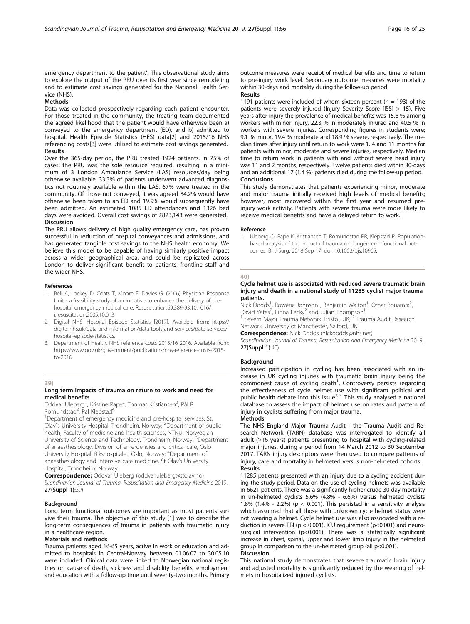emergency department to the patient'. This observational study aims to explore the output of the PRU over its first year since remodeling and to estimate cost savings generated for the National Health Service (NHS).

#### Methods

Data was collected prospectively regarding each patient encounter. For those treated in the community, the treating team documented the agreed likelihood that the patient would have otherwise been a) conveyed to the emergency department (ED), and b) admitted to hospital. Health Episode Statistics (HES) data[2] and 2015/16 NHS referencing costs[3] were utilised to estimate cost savings generated. Results

Over the 365-day period, the PRU treated 1924 patients. In 75% of cases, the PRU was the sole resource required, resulting in a minimum of 3 London Ambulance Service (LAS) resources/day being otherwise available. 33.3% of patients underwent advanced diagnostics not routinely available within the LAS. 67% were treated in the community. Of those not conveyed, it was agreed 84.2% would have otherwise been taken to an ED and 19.9% would subsequently have been admitted. An estimated 1085 ED attendances and 1326 bed days were avoided. Overall cost savings of £823,143 were generated. Discussion

The PRU allows delivery of high quality emergency care, has proven successful in reduction of hospital conveyances and admissions, and has generated tangible cost savings to the NHS health economy. We believe this model to be capable of having similarly positive impact across a wider geographical area, and could be replicated across London to deliver significant benefit to patients, frontline staff and the wider NHS.

#### References

- 1. Bell A, Lockey D, Coats T, Moore F, Davies G. (2006) Physician Response Unit - a feasibility study of an initiative to enhance the delivery of prehospital emergency medical care. Resuscitation.69:389-93.10.1016/ j.resuscitation.2005.10.013
- 2. Digital NHS. Hospital Episode Statistics [2017]. Available from: https:// digital.nhs.uk/data-and-information/data-tools-and-services/data-services/ hospital-episode-statistics.
- 3. Department of Health. NHS reference costs 2015/16 2016. Available from: https://www.gov.uk/government/publications/nhs-reference-costs-2015 to-2016.

#### 39)

#### Long term impacts of trauma on return to work and need for medical benefits

Oddvar Uleberg<sup>1</sup>, Kristine Pape<sup>2</sup>, Thomas Kristiansen<sup>3</sup>, Pål R Romundstad<sup>2</sup>, Pål Klepstad<sup>4</sup>

<sup>1</sup>Department of emergency medicine and pre-hospital services, St. Olav`s University Hospital, Trondheim, Norway; <sup>2</sup>Department of public health, Faculty of medicine and health sciences, NTNU, Norwegian University of Science and Technology, Trondheim, Norway, <sup>3</sup>Department of anaesthesiology, Division of emergencies and critical care, Oslo University Hospital, Rikshospitalet, Oslo, Norway; <sup>4</sup>Department of anaesthesiology and intensive care medicine, St Olav's University Hospital, Trondheim, Norway

Correspondence: Oddvar Uleberg (oddvar.uleberg@stolav.no) Scandinavian Journal of Trauma, Resuscitation and Emergency Medicine 2019, 27(Suppl 1):39)

#### **Background**

Long term functional outcomes are important as most patients survive their trauma. The objective of this study [1] was to describe the long-term consequences of trauma in patients with traumatic injury in a healthcare region.

#### Materials and methods

Trauma patients aged 16-65 years, active in work or education and admitted to hospitals in Central-Norway between 01.06.07 to 30.05.10 were included. Clinical data were linked to Norwegian national registries on cause of death, sickness and disability benefits, employment and education with a follow-up time until seventy-two months. Primary

outcome measures were receipt of medical benefits and time to return to pre-injury work level. Secondary outcome measures were mortality within 30-days and mortality during the follow-up period. Results

1191 patients were included of whom sixteen percent ( $n = 193$ ) of the patients were severely injured (Injury Severity Score [ISS] > 15). Five years after injury the prevalence of medical benefits was 15.6 % among workers with minor injury, 22.3 % in moderately injured and 40.5 % in workers with severe injuries. Corresponding figures in students were; 9.1 % minor, 19.4 % moderate and 18.9 % severe, respectively. The median times after injury until return to work were 1, 4 and 11 months for patients with minor, moderate and severe injuries, respectively. Median time to return work in patients with and without severe head injury was 11 and 2 months, respectively. Twelve patients died within 30-days and an additional 17 (1.4 %) patients died during the follow-up period. Conclusions

This study demonstrates that patients experiencing minor, moderate and major trauma initially received high levels of medical benefits; however, most recovered within the first year and resumed preinjury work activity. Patients with severe trauma were more likely to receive medical benefits and have a delayed return to work.

#### Reference

1. Uleberg O, Pape K, Kristiansen T, Romundstad PR, Klepstad P. Populationbased analysis of the impact of trauma on longer-term functional outcomes. Br J Surg. 2018 Sep 17. doi: 10.1002/bjs.10965.

# 40)

#### Cycle helmet use is associated with reduced severe traumatic brain injury and death in a national study of 11285 cyclist major trauma patients.

.<br>Nick Dodds<sup>1</sup>, Rowena Johnson<sup>1</sup>, Benjamin Walton<sup>1</sup>, Omar Bouamra<sup>2</sup> , David Yates<sup>2</sup>, Fiona Lecky<sup>2</sup> and Julian Thompson<sup>1</sup>

<sup>1</sup> Severn Major Trauma Network, Bristol, UK; <sup>2</sup> Trauma Audit Research Network, University of Manchester, Salford, UK

Correspondence: Nick Dodds (nickdodds@nhs.net)

Scandinavian Journal of Trauma, Resuscitation and Emergency Medicine 2019, 27(Suppl 1):40)

#### Background

Increased participation in cycling has been associated with an increase in UK cycling injuries with traumatic brain injury being the commonest cause of cycling death<sup>1</sup>. Controversy persists regarding the effectiveness of cycle helmet use with significant political and public health debate into this issue<sup> $2,3$ </sup>. This study analysed a national database to assess the impact of helmet use on rates and pattern of injury in cyclists suffering from major trauma.

#### Methods

The NHS England Major Trauma Audit - the Trauma Audit and Research Network (TARN) database was interrogated to identify all adult (≥16 years) patients presenting to hospital with cycling-related major injuries, during a period from 14 March 2012 to 30 September 2017. TARN injury descriptors were then used to compare patterns of injury, care and mortality in helmeted versus non-helmeted cohorts. Results

11285 patients presented with an injury due to a cycling accident during the study period. Data on the use of cycling helmets was available in 6621 patients. There was a significantly higher crude 30 day mortality in un-helmeted cyclists 5.6% (4.8% - 6.6%) versus helmeted cyclists 1.8% (1.4% - 2.2%) ( $p < 0.001$ ). This persisted in a sensitivity analysis which assumed that all those with unknown cycle helmet status were not wearing a helmet. Cycle helmet use was also associated with a reduction in severe TBI (p < 0.001), ICU requirement (p<0.001) and neurosurgical intervention (p<0.001). There was a statistically significant increase in chest, spinal, upper and lower limb injury in the helmeted group in comparison to the un-helmeted group (all p<0.001).

#### Discussion

This national study demonstrates that severe traumatic brain injury and adjusted mortality is significantly reduced by the wearing of helmets in hospitalized injured cyclists.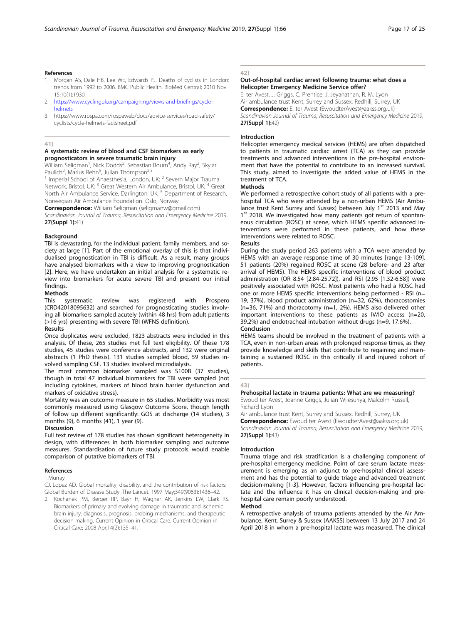#### References

- 1. Morgan AS, Dale HB, Lee WE, Edwards PJ. Deaths of cyclists in London: trends from 1992 to 2006. BMC Public Health. BioMed Central; 2010 Nov 15;10(1):1930.
- 2. [https://www.cyclinguk.org/campaigning/views-and-briefings/cycle](https://www.cyclinguk.org/campaigning/views-and-briefings/cycle-helmets)[helmets](https://www.cyclinguk.org/campaigning/views-and-briefings/cycle-helmets)
- 3. https://www.rospa.com/rospaweb/docs/advice-services/road-safety/ cyclists/cycle-helmets-factsheet.pdf

#### 41)

#### A systematic review of blood and CSF biomarkers as early prognosticators in severe traumatic brain injury

William Seligman<sup>1</sup>, Nick Dodds<sup>2</sup>, Sebastian Bourn<sup>4</sup>, Andy Ray<sup>2</sup>, Skylar Paulich<sup>2</sup>, Marius Rehn<sup>5</sup>, Julian Thompson<sup>2,3</sup>

<sup>1</sup> Imperial School of Anaesthesia, London, UK;  $^2$  Severn Major Trauma Network, Bristol, UK; <sup>3</sup> Great Western Air Ambulance, Bristol, UK; <sup>4</sup> Great North Air Ambulance Service, Darlington, UK; <sup>5</sup> Department of Research. Norwegian Air Ambulance Foundation. Oslo, Norway

Correspondence: William Seligman (seligmanw@gmail.com)

Scandinavian Journal of Trauma, Resuscitation and Emergency Medicine 2019, 27(Suppl 1):41)

#### Background

TBI is devastating, for the individual patient, family members, and society at large [1]. Part of the emotional overlay of this is that individualised prognostication in TBI is difficult. As a result, many groups have analysed biomarkers with a view to improving prognostication [2]. Here, we have undertaken an initial analysis for a systematic review into biomarkers for acute severe TBI and present our initial findings.

#### **Methods**

This systematic review was registered with Prospero (CRD42018095632) and searched for prognosticating studies involving all biomarkers sampled acutely (within 48 hrs) from adult patients (>16 yrs) presenting with severe TBI (WFNS definition).

#### Results

Once duplicates were excluded, 1823 abstracts were included in this analysis. Of these, 265 studies met full text eligibility. Of these 178 studies, 45 studies were conference abstracts, and 132 were original abstracts (1 PhD thesis). 131 studies sampled blood, 59 studies involved sampling CSF. 13 studies involved microdialysis.

The most common biomarker sampled was S100B (37 studies), though in total 47 individual biomarkers for TBI were sampled (not including cytokines, markers of blood brain barrier dysfunction and markers of oxidative stress).

Mortality was an outcome measure in 65 studies. Morbidity was most commonly measured using Glasgow Outcome Score, though length of follow up different significantly: GOS at discharge (14 studies), 3 months (9), 6 months (41), 1 year (9).

#### Discussion

Full text review of 178 studies has shown significant heterogeneity in design, with differences in both biomarker sampling and outcome measures. Standardisation of future study protocols would enable comparison of putative biomarkers of TBI.

#### References

#### 1.Murray

CJ, Lopez AD. Global mortality, disability, and the contribution of risk factors: Global Burden of Disease Study. The Lancet. 1997 May;349(9063):1436–42.

2. Kochanek PM, Berger RP, Bayr H, Wagner AK, Jenkins LW, Clark RS. Biomarkers of primary and evolving damage in traumatic and ischemic brain injury: diagnosis, prognosis, probing mechanisms, and therapeutic decision making. Current Opinion in Critical Care. Current Opinion in Critical Care; 2008 Apr;14(2):135–41.

#### 42)

# Out-of-hospital cardiac arrest following trauma: what does a Helicopter Emergency Medicine Service offer?

E. ter Avest, J. Griggs, C. Prentice, J. Jeyanathan, R. M. Lyon Air ambulance trust Kent, Surrey and Sussex, Redhill, Surrey, UK Correspondence: E. ter Avest (EwoudterAvest@aakss.org.uk) Scandinavian Journal of Trauma, Resuscitation and Emergency Medicine 2019, 27(Suppl 1):42)

#### Introduction

Helicopter emergency medical services (HEMS) are often dispatched to patients in traumatic cardiac arrest (TCA) as they can provide treatments and advanced interventions in the pre-hospital environment that have the potential to contribute to an increased survival. This study, aimed to investigate the added value of HEMS in the treatment of TCA.

#### Methods

We performed a retrospective cohort study of all patients with a prehospital TCA who were attended by a non-urban HEMS (Air Ambulance trust Kent Surrey and Sussex) between July 1<sup>st</sup> 2013 and May 1st 2018. We investigated how many patients got return of spontaneous circulation (ROSC) at scene, which HEMS specific advanced interventions were performed in these patients, and how these interventions were related to ROSC.

#### Results

During the study period 263 patients with a TCA were attended by HEMS with an average response time of 30 minutes [range 13-109]. 51 patients (20%) regained ROSC at scene (28 before- and 23 after arrival of HEMS). The HEMS specific interventions of blood product administration (OR 8.54 [2.84-25.72]), and RSI (2.95 [1.32-6.58]) were positively associated with ROSC. Most patients who had a ROSC had one or more HEMS specific interventions being performed - RSI (n= 19, 37%), blood product administration (n=32, 62%), thoracostomies (n=36, 71%) and thoracotomy (n=1, 2%). HEMS also delivered other important interventions to these patients as IV/IO access (n=20, 39.2%) and endotracheal intubation without drugs (n=9, 17.6%). Conclusion

HEMS teams should be involved in the treatment of patients with a TCA, even in non-urban areas with prolonged response times, as they provide knowledge and skills that contribute to regaining and maintaining a sustained ROSC in this critically ill and injured cohort of patients.

#### 43)

Prehospital lactate in trauma patients: What are we measuring? Ewoud ter Avest, Joanne Griggs, Julian Wijesuriya, Malcolm Russell, Richard Lyon

Air ambulance trust Kent, Surrey and Sussex, Redhill, Surrey, UK Correspondence: Ewoud ter Avest (EwoudterAvest@aakss.org.uk) Scandinavian Journal of Trauma, Resuscitation and Emergency Medicine 2019, 27(Suppl 1):43)

#### Introduction

Trauma triage and risk stratification is a challenging component of pre-hospital emergency medicine. Point of care serum lactate measurement is emerging as an adjunct to pre-hospital clinical assessment and has the potential to guide triage and advanced treatment decision-making [1-3]. However, factors influencing pre-hospital lactate and the influence it has on clinical decision-making and prehospital care remain poorly understood.

#### Method

A retrospective analysis of trauma patients attended by the Air Ambulance, Kent, Surrey & Sussex (AAKSS) between 13 July 2017 and 24 April 2018 in whom a pre-hospital lactate was measured. The clinical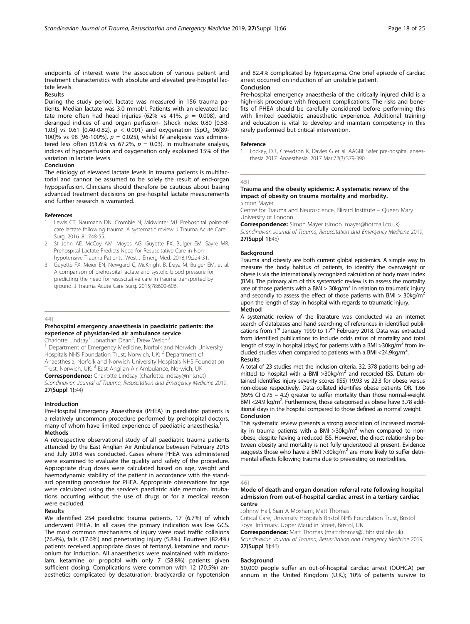endpoints of interest were the association of various patient and treatment characteristics with absolute and elevated pre-hospital lactate levels.

# Results

During the study period, lactate was measured in 156 trauma patients. Median lactate was 3.0 mmol/l. Patients with an elevated lactate more often had head injuries (62% vs 41%,  $p = 0.008$ ), and deranged indices of end organ perfusion- (shock index 0.80 [0.58- 1.03] vs 0.61 [0.40-0.82],  $p < 0.001$ ) and oxygenation (SpO<sub>2</sub> 96[89-100]% vs 98 [96-100%],  $p = 0.025$ ), whilst IV analgesia was administered less often (51.6% vs 67.2%,  $p = 0.03$ ). In multivariate analysis, indices of hypoperfusion and oxygenation only explained 15% of the variation in lactate levels.

#### Conclusion

The etiology of elevated lactate levels in trauma patients is multifactorial and cannot be assumed to be solely the result of end-organ hypoperfusion. Clinicians should therefore be cautious about basing advanced treatment decisions on pre-hospital lactate measurements and further research is warranted.

#### References

- 1. Lewis CT, Naumann DN, Crombie N, Midwinter MJ. Prehospital point-ofcare lactate following trauma: A systematic review. J Trauma Acute Care Surg. 2016 ;81:748-55.
- 2. St John AE, McCoy AM, Moyes AG, Guyette FX, Bulger EM, Sayre MR. Prehospital Lactate Predicts Need for Resuscitative Care in Nonhypotensive Trauma Patients. West J Emerg Med. 2018;19:224-31.
- 3. Guyette FX, Meier EN, Newgard C, McKnight B, Daya M, Bulger EM, et al. A comparison of prehospital lactate and systolic blood pressure for predicting the need for resuscitative care in trauma transported by ground. J Trauma Acute Care Surg. 2015;78:600-606.

#### 44)

# Prehospital emergency anaesthesia in paediatric patients: the experience of physician-led air ambulance service

Charlotte Lindsay<sup>1</sup>, Jonathan Dean<sup>2</sup>, Drew Welch<sup>3</sup>

<sup>1</sup> Department of Emergency Medicine, Norfolk and Norwich University Hospitals NHS Foundation Trust, Norwich, UK; <sup>2</sup> Department of Anaesthesia, Norfolk and Norwich University Hospitals NHS Foundation Trust, Norwich, UK; <sup>3</sup> East Anglian Air Ambulance, Norwich, UK Correspondence: Charlotte Lindsay (charlotte.lindsay@nhs.net) Scandinavian Journal of Trauma, Resuscitation and Emergency Medicine 2019, 27(Suppl 1):44)

#### Introduction

Pre-Hospital Emergency Anaesthesia (PHEA) in paediatric patients is a relatively uncommon procedure performed by prehospital doctors, many of whom have limited experience of paediatric anaesthesia.<sup>1</sup> **Methods** 

A retrospective observational study of all paediatric trauma patients attended by the East Anglian Air Ambulance between February 2015 and July 2018 was conducted. Cases where PHEA was administered were examined to evaluate the quality and safety of the procedure. Appropriate drug doses were calculated based on age, weight and haemodynamic stability of the patient in accordance with the standard operating procedure for PHEA. Appropriate observations for age were calculated using the service's paediatric aide memoire. Intubations occurring without the use of drugs or for a medical reason were excluded.

#### Results

We identified 254 paediatric trauma patients, 17 (6.7%) of which underwent PHEA. In all cases the primary indication was low GCS. The most common mechanisms of injury were road traffic collisions (76.4%), falls (17.6%) and penetrating injury (5.8%). Fourteen (82.4%) patients received appropriate doses of fentanyl, ketamine and rocuronium for induction. All anaesthetics were maintained with midazolam, ketamine or propofol with only 7 (58.8%) patients given sufficient dosing. Complications were common with 12 (70.5%) anaesthetics complicated by desaturation, bradycardia or hypotension

and 82.4% complicated by hypercapnia. One brief episode of cardiac arrest occurred on induction of an unstable patient.

# Conclusion

Pre-hospital emergency anaesthesia of the critically injured child is a high-risk procedure with frequent complications. The risks and benefits of PHEA should be carefully considered before performing this with limited paediatric anaesthetic experience. Additional training and education is vital to develop and maintain competency in this rarely performed but critical intervention.

#### Reference

1. Lockey, D.J., Crewdson K, Davies G et al. AAGBI: Safer pre-hospital anaesthesia 2017. Anaesthesia. 2017 Mar;72(3):379-390.

#### 45)

#### Trauma and the obesity epidemic: A systematic review of the impact of obesity on trauma mortality and morbidity. Simon Mayer

Centre for Trauma and Neuroscience, Blizard Institute – Queen Mary University of London

**Correspondence:** Simon Mayer (simon\_mayer@hotmail.co.uk) Scandinavian Journal of Trauma, Resuscitation and Emergency Medicine 2019, 27(Suppl 1):45)

#### Background

Trauma and obesity are both current global epidemics. A simple way to measure the body habitus of patients, to identify the overweight or obese is via the internationally recognized calculation of body mass index (BMI). The primary aim of this systematic review is to assess the mortality rate of those patients with a BMI >  $30\text{kg/m}^2$  in relation to traumatic injury and secondly to assess the effect of those patients with BMI  $>$  30kg/m<sup>2</sup> upon the length of stay in hospital with regards to traumatic injury. Method

A systematic review of the literature was conducted via an internet search of databases and hand searching of references in identified publications from  $1^{st}$  January 1990 to  $17^{th}$  February 2018. Data was extracted from identified publications to include odds ratios of mortality and total length of stay in hospital (days) for patients with a BMI >30kg/ $m^2$  from included studies when compared to patients with a BMI <24.9kg/m<sup>2</sup>. Results

A total of 23 studies met the inclusion criteria, 32, 378 patients being admitted to hospital with a BMI  $>$ 30kg/m<sup>2</sup> and recorded ISS. Datum obtained identifies injury severity scores (ISS) 19.93 vs 22.3 for obese versus non-obese respectively. Data collated identifies obese patients OR. 1.66 (95% CI 0.75 – 4.2) greater to suffer mortality than those normal-weight BMI <24.9 kg/m<sup>2</sup>. Furthermore, those categorised as obese have 3.78 additional days in the hospital compared to those defined as normal weight. Conclusion

This systematic review presents a strong association of increased mortality in trauma patients with a BMI  $>$ 30kg/m<sup>2</sup> when compared to nonobese, despite having a reduced ISS. However, the direct relationship between obesity and mortality is not fully understood at present. Evidence suggests those who have a BMI >30kg/ $m^2$  are more likely to suffer detrimental effects following trauma due to preexisting co morbidities.

#### 46)

#### Mode of death and organ donation referral rate following hospital admission from out-of-hospital cardiac arrest in a tertiary cardiac centre

Johnny Hall, Sian A Moxham, Matt Thomas

Critical Care, University Hospitals Bristol NHS Foundation Trust, Bristol Royal Infirmary, Upper Maudlin Street, Bristol, UK

Correspondence: Matt Thomas (matt.thomas@uhbristol.nhs.uk)

Scandinavian Journal of Trauma, Resuscitation and Emergency Medicine 2019, 27(Suppl 1):46)

#### Background

50,000 people suffer an out-of-hospital cardiac arrest (OOHCA) per annum in the United Kingdom (U.K.); 10% of patients survive to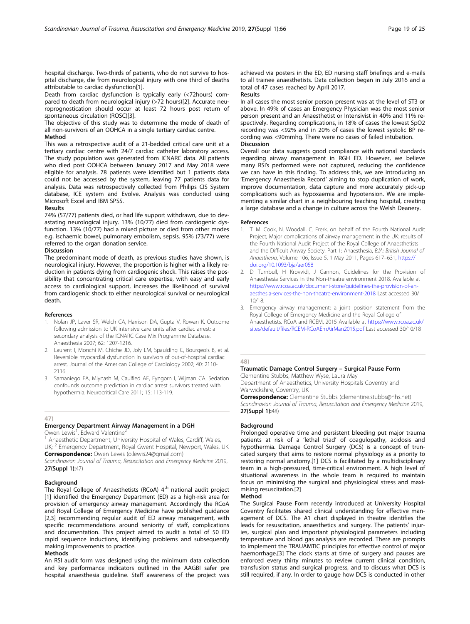hospital discharge. Two-thirds of patients, who do not survive to hospital discharge, die from neurological injury with one third of deaths attributable to cardiac dysfunction[1].

Death from cardiac dysfunction is typically early (<72hours) compared to death from neurological injury (>72 hours)[2]. Accurate neuroprognostication should occur at least 72 hours post return of spontaneous circulation (ROSC)[3].

The objective of this study was to determine the mode of death of all non-survivors of an OOHCA in a single tertiary cardiac centre.

# Method

This was a retrospective audit of a 21-bedded critical care unit at a tertiary cardiac centre with 24/7 cardiac catheter laboratory access. The study population was generated from ICNARC data. All patients who died post OOHCA between January 2017 and May 2018 were eligible for analysis. 78 patients were identified but 1 patients data could not be accessed by the system, leaving 77 patients data for analysis. Data was retrospectively collected from Philips CIS System database, ICE system and Evolve. Analysis was conducted using Microsoft Excel and IBM SPSS.

#### Results

74% (57/77) patients died, or had life support withdrawn, due to devastating neurological injury. 13% (10/77) died from cardiogenic dysfunction. 13% (10/77) had a mixed picture or died from other modes e.g. ischaemic bowel, pulmonary embolism, sepsis. 95% (73/77) were referred to the organ donation service.

#### Discussion

The predominant mode of death, as previous studies have shown, is neurological injury. However, the proportion is higher with a likely reduction in patients dying from cardiogenic shock. This raises the possibility that concentrating critical care expertise, with easy and early access to cardiological support, increases the likelihood of survival from cardiogenic shock to either neurological survival or neurological death.

#### References

- 1. Nolan JP, Laver SR, Welch CA, Harrison DA, Gupta V, Rowan K. Outcome following admission to UK intensive care units after cardiac arrest: a secondary analysis of the ICNARC Case Mix Programme Database. Anaesthesia 2007; 62: 1207-1216.
- 2. Laurent I, Monchi M, Chiche JD, Joly LM, Spaulding C, Bourgeois B, et al. Reversible myocardial dysfunction in survivors of out-of-hospital cardiac arrest. Journal of the American College of Cardiology 2002; 40: 2110- 2116.
- Samaniego EA, Mlynash M, Caulfied AF, Eyngorn I, Wijman CA. Sedation confounds outcome prediction in cardiac arrest survivors treated with hypothermia. Neurocritical Care 2011; 15: 113-119.

#### 47)

#### Emergency Department Airway Management in a DGH

Owen Lewis<sup>1</sup>, Edward Valentine<sup>2</sup>

Anaesthetic Department, University Hospital of Wales, Cardiff, Wales, UK; <sup>2</sup> Emergency Department, Royal Gwent Hospital, Newport, Wales, UK Correspondence: Owen Lewis (o.lewis24@gmail.com)

Scandinavian Journal of Trauma, Resuscitation and Emergency Medicine 2019, 27(Suppl 1):47)

#### Background

The Royal College of Anaesthetists (RCoA) 4<sup>th</sup> national audit project [1] identified the Emergency Department (ED) as a high-risk area for provision of emergency airway management. Accordingly the RCoA and Royal College of Emergency Medicine have published guidance [2,3] recommending regular audit of ED airway management, with specific recommendations around seniority of staff, complications and documentation. This project aimed to audit a total of 50 ED rapid sequence inductions, identifying problems and subsequently making improvements to practice.

#### Methods

An RSI audit form was designed using the minimum data collection and key performance indicators outlined in the AAGBI safer pre hospital anaesthesia guideline. Staff awareness of the project was achieved via posters in the ED, ED nursing staff briefings and e-mails to all trainee anaesthetists. Data collection began in July 2016 and a total of 47 cases reached by April 2017.

# Results

In all cases the most senior person present was at the level of ST3 or above. In 49% of cases an Emergency Physician was the most senior person present and an Anaesthetist or Intensivist in 40% and 11% respectively. Regarding complications, in 18% of cases the lowest SpO2 recording was <92% and in 20% of cases the lowest systolic BP recording was <90mmhg. There were no cases of failed intubation. Discussion

Overall our data suggests good compliance with national standards regarding airway management in RGH ED. However, we believe many RSI's performed were not captured, reducing the confidence we can have in this finding. To address this, we are introducing an 'Emergency Anaesthesia Record' aiming to stop duplication of work, improve documentation, data capture and more accurately pick-up complications such as hypoxaemia and hypotension. We are implementing a similar chart in a neighbouring teaching hospital, creating a large database and a change in culture across the Welsh Deanery.

#### References

- 1. T. M. Cook, N. Woodall, C. Frerk, on behalf of the Fourth National Audit Project; Major complications of airway management in the UK: results of the Fourth National Audit Project of the Royal College of Anaesthetists and the Difficult Airway Society. Part 1: Anaesthesia, BJA: British Journal of Anaesthesia, Volume 106, Issue 5, 1 May 2011, Pages 617–631, [https://](https://doi.org/10.1093/bja/aer058) [doi.org/10.1093/bja/aer058](https://doi.org/10.1093/bja/aer058)
- 2. D Turnbull, H Krovvidi, J Gannon, Guidelines for the Provision of Anaesthesia Services in the Non-theatre environment 2018. Available at [https://www.rcoa.ac.uk/document-store/guidelines-the-provision-of-an](https://www.rcoa.ac.uk/document-store/guidelines-the-provision-of-anaesthesia-services-the-non-theatre-environment-2018)[aesthesia-services-the-non-theatre-environment-2018](https://www.rcoa.ac.uk/document-store/guidelines-the-provision-of-anaesthesia-services-the-non-theatre-environment-2018) Last accessed 30/ 10/18.
- 3. Emergency airway management: a joint position statement from the Royal College of Emergency Medicine and the Royal College of Anaesthetists. RCoA and RCEM, 2015 Available at [https://www.rcoa.ac.uk/](https://www.rcoa.ac.uk/sites/default/files/RCEM-RCoAEmAirMan2015.pdf) [sites/default/files/RCEM-RCoAEmAirMan2015.pdf](https://www.rcoa.ac.uk/sites/default/files/RCEM-RCoAEmAirMan2015.pdf) Last accessed 30/10/18

#### 48)

# Traumatic Damage Control Surgery – Surgical Pause Form

Clementine Stubbs, Matthew Wyse, Laura May Department of Anaesthetics, University Hospitals Coventry and Warwickshire, Coventry, UK

Correspondence: Clementine Stubbs (clementine.stubbs@nhs.net) Scandinavian Journal of Trauma, Resuscitation and Emergency Medicine 2019, 27(Suppl 1):48)

#### Background

Prolonged operative time and persistent bleeding put major trauma patients at risk of a 'lethal triad' of coagulopathy, acidosis and hypothermia. Damage Control Surgery (DCS) is a concept of truncated surgery that aims to restore normal physiology as a priority to restoring normal anatomy.[1] DCS is facilitated by a multidisciplinary team in a high-pressured, time-critical environment. A high level of situational awareness in the whole team is required to maintain focus on minimising the surgical and physiological stress and maximising resuscitation.[2]

#### Method

The Surgical Pause Form recently introduced at University Hospital Coventry facilitates shared clinical understanding for effective management of DCS. The A1 chart displayed in theatre identifies the leads for resuscitation, anaesthetics and surgery. The patients' injuries, surgical plan and important physiological parameters including temperature and blood gas analysis are recorded. There are prompts to implement the TRAUAMTIC principles for effective control of major haemorrhage.[3] The clock starts at time of surgery and pauses are enforced every thirty minutes to review current clinical condition, transfusion status and surgical progress, and to discuss what DCS is still required, if any. In order to gauge how DCS is conducted in other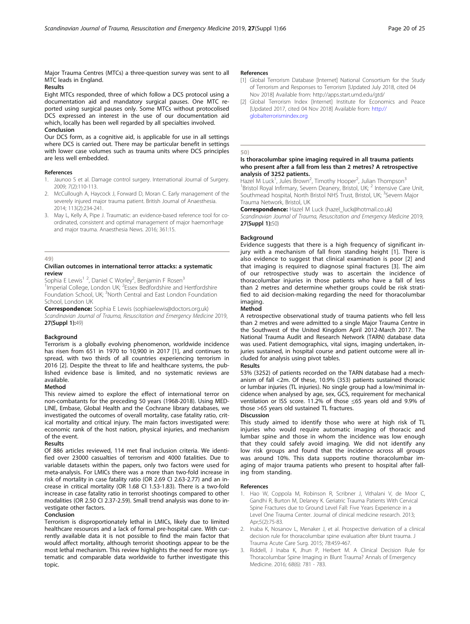Major Trauma Centres (MTCs) a three-question survey was sent to all MTC leads in England.

#### Results

Eight MTCs responded, three of which follow a DCS protocol using a documentation aid and mandatory surgical pauses. One MTC reported using surgical pauses only. Some MTCs without protocolised DCS expressed an interest in the use of our documentation aid which, locally has been well regarded by all specialties involved. Conclusion

Our DCS form, as a cognitive aid, is applicable for use in all settings where DCS is carried out. There may be particular benefit in settings with lower case volumes such as trauma units where DCS principles are less well embedded.

#### References

- 1. Jaunoo S et al. Damage control surgery. International Journal of Surgery. 2009; 7(2):110-113.
- 2. McCullough A, Haycock J, Forward D, Moran C. Early management of the severely injured major trauma patient. British Journal of Anaesthesia. 2014; 113(2):234-241.
- 3. May L, Kelly A, Pipe J. Traumatic: an evidence-based reference tool for coordinated, consistent and optimal management of major haemorrhage and major trauma. Anaesthesia News. 2016; 361:15.
- 49)

# Civilian outcomes in international terror attacks: a systematic review

Sophia E Lewis<sup>12</sup>, Daniel C Worley<sup>2</sup>, Benjamin F Rosen<sup>3</sup>

<sup>1</sup> Imperial College, London UK; <sup>2</sup> Essex Bedfordshire and Hertfordshire Foundation School, UK; <sup>3</sup>North Central and East London Foundation School, London UK

Correspondence: Sophia E Lewis (sophiaelewis@doctors.org.uk)

Scandinavian Journal of Trauma, Resuscitation and Emergency Medicine 2019, 27(Suppl 1):49)

#### **Background**

Terrorism is a globally evolving phenomenon, worldwide incidence has risen from 651 in 1970 to 10,900 in 2017 [1], and continues to spread, with two thirds of all countries experiencing terrorism in 2016 [2]. Despite the threat to life and healthcare systems, the published evidence base is limited, and no systematic reviews are available.

#### Method

This review aimed to explore the effect of international terror on non-combatants for the preceding 50 years (1968-2018). Using MED-LINE, Embase, Global Health and the Cochrane library databases, we investigated the outcomes of overall mortality, case fatality ratio, critical mortality and critical injury. The main factors investigated were: economic rank of the host nation, physical injuries, and mechanism of the event.

#### Results

Of 886 articles reviewed, 114 met final inclusion criteria. We identified over 23000 casualties of terrorism and 4000 fatalities. Due to variable datasets within the papers, only two factors were used for meta-analysis. For LMICs there was a more than two-fold increase in risk of mortality in case fatality ratio (OR 2.69 CI 2.63-2.77) and an increase in critical mortality (OR 1.68 CI 1.53-1.83). There is a two-fold increase in case fatality ratio in terrorist shootings compared to other modalities (OR 2.50 CI 2.37-2.59). Small trend analysis was done to investigate other factors.

#### Conclusion

Terrorism is disproportionately lethal in LMICs, likely due to limited healthcare resources and a lack of formal pre-hospital care. With currently available data it is not possible to find the main factor that would affect mortality, although terrorist shootings appear to be the most lethal mechanism. This review highlights the need for more systematic and comparable data worldwide to further investigate this topic.

#### References

- [1] Global Terrorism Database [Internet] National Consortium for the Study of Terrorism and Responses to Terrorism [Updated July 2018, cited 04 Nov 2018] Available from: http://apps.start.umd.edu/gtd/
- [2] Global Terrorism Index [Internet] Institute for Economics and Peace [Updated 2017, cited 04 Nov 2018] Available from: [http://](http://globalterrorismindex.org) [globalterrorismindex.org](http://globalterrorismindex.org)

#### 50)

### Is thoracolumbar spine imaging required in all trauma patients who present after a fall from less than 2 metres? A retrospective analysis of 3252 patients.

Hazel M Luck<sup>1</sup>, Jules Brown<sup>2</sup>, Timothy Hooper<sup>2</sup>, Julian Thompson<sup>3</sup> <sup>1</sup>Bristol Royal Infirmary, Severn Deanery, Bristol, UK; <sup>2</sup> Intensive Care Unit Southmead hospital, North Bristol NHS Trust, Bristol, UK; <sup>3</sup>Severn Major Trauma Network, Bristol, UK

Correspondence: Hazel M Luck (hazel\_luck@hotmail.co.uk) Scandinavian Journal of Trauma, Resuscitation and Emergency Medicine 2019, 27(Suppl 1):50)

#### Background

Evidence suggests that there is a high frequency of significant injury with a mechanism of fall from standing height [1]. There is also evidence to suggest that clinical examination is poor [2] and that imaging is required to diagnose spinal fractures [3]. The aim of our retrospective study was to ascertain the incidence of thoracolumbar injuries in those patients who have a fall of less than 2 metres and determine whether groups could be risk stratified to aid decision-making regarding the need for thoracolumbar imaging.

#### Method

A retrospective observational study of trauma patients who fell less than 2 metres and were admitted to a single Major Trauma Centre in the Southwest of the United Kingdom April 2012-March 2017. The National Trauma Audit and Research Network (TARN) database data was used. Patient demographics, vital signs, imaging undertaken, injuries sustained, in hospital course and patient outcome were all included for analysis using pivot tables.

# Results

53% (3252) of patients recorded on the TARN database had a mechanism of fall <2m. Of these, 10.9% (353) patients sustained thoracic or lumbar injuries (TL injuries). No single group had a low/minimal incidence when analysed by age, sex, GCS, requirement for mechanical ventilation or ISS score. 11.2% of those ≤65 years old and 9.9% of those >65 years old sustained TL fractures.

#### Discussion

This study aimed to identify those who were at high risk of TL injuries who would require automatic imaging of thoracic and lumbar spine and those in whom the incidence was low enough that they could safely avoid imaging. We did not identify any low risk groups and found that the incidence across all groups was around 10%. This data supports routine thoracolumbar imaging of major trauma patients who present to hospital after falling from standing.

#### References

- 1. Hao W, Coppola M, Robinson R, Scribner J, Vithalani V, de Moor C, Gandhi R, Burton M, Delaney K. Geriatric Trauma Patients With Cervical Spine Fractures due to Ground Level Fall: Five Years Experience in a Level One Trauma Center. Journal of clinical medicine research. 2013; Apr;5(2):75-83.
- 2. Inaba K, Nosanov L, Menaker J, et al. Prospective derivation of a clinical decision rule for thoracolumbar spine evaluation after blunt trauma. J Trauma Acute Care Surg. 2015; 78:459-467.
- 3. Riddell, J Inaba K, Jhun P, Herbert M. A Clinical Decision Rule for Thoracolumbar Spine Imaging in Blunt Trauma? Annals of Emergency Medicine. 2016; 68(6): 781 - 783.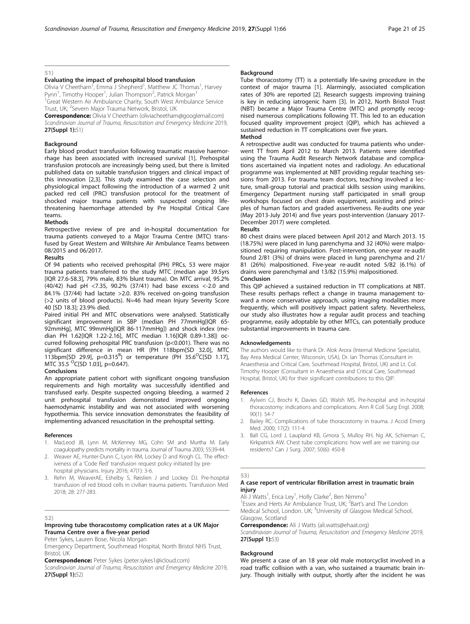# Evaluating the impact of prehospital blood transfusion

Olivia V Cheetham<sup>1</sup>, Emma J Shepherd<sup>1</sup>, Matthew JC Thomas<sup>1</sup>, Harvey Pynn<sup>1</sup>, Timothy Hooper<sup>1</sup>, Julian Thompson<sup>2</sup>, Patrick Morgan<sup>1</sup> <sup>1</sup>Great Western Air Ambulance Charity, South West Ambulance Service

Trust, UK; <sup>2</sup>Severn Major Trauma Network, Bristol, UK

Correspondence: Olivia V Cheetham (oliviacheetham@googlemail.com) Scandinavian Journal of Trauma, Resuscitation and Emergency Medicine 2019, 27(Suppl 1):51)

#### **Background**

Early blood product transfusion following traumatic massive haemorrhage has been associated with increased survival [1]. Prehospital transfusion protocols are increasingly being used, but there is limited published data on suitable transfusion triggers and clinical impact of this innovation [2,3]. This study examined the case selection and physiological impact following the introduction of a warmed 2 unit packed red cell (PRC) transfusion protocol for the treatment of shocked major trauma patients with suspected ongoing lifethreatening haemorrhage attended by Pre Hospital Critical Care teams.

#### Methods

Retrospective review of pre and in-hospital documentation for trauma patients conveyed to a Major Trauma Centre (MTC) transfused by Great Western and Wiltshire Air Ambulance Teams between 08/2015 and 06/2017.

#### Results

Of 94 patients who received prehospital (PH) PRCs, 53 were major trauma patients transferred to the study MTC (median age 39.5yrs [IQR 27.6-58.3], 79% male, 83% blunt trauma). On MTC arrival, 95.2% (40/42) had pH <7.35, 90.2% (37/41) had base excess <-2.0 and 84.1% (37/44) had lactate >2.0. 83% received on-going transfusion (>2 units of blood products). N=46 had mean Injury Severity Score 40 [SD 18.3]; 23.9% died.

Paired initial PH and MTC observations were analysed. Statistically significant improvement in SBP (median PH 77mmHg[IQR 65- 92mmHg], MTC 99mmHg[IQR 86-117mmHg]) and shock index (median PH 1.62[IQR 1.22-2.16], MTC median 1.16[IQR 0.89-1.38]) occurred following prehospital PRC transfusion (p<0.001). There was no significant difference in mean HR (PH 118bpm[SD 32.0], MTC 113bpm[SD 29.9], p=0.315<sup>B</sup>) or temperature (PH 35.6<sup>O</sup>C[SD 1.17], MTC 35.5 <sup>O</sup>C[SD 1.03], p=0.647).

#### Conclusions

An appropriate patient cohort with significant ongoing transfusion requirements and high mortality was successfully identified and transfused early. Despite suspected ongoing bleeding, a warmed 2 unit prehospital transfusion demonstrated improved ongoing haemodynamic instability and was not associated with worsening hypothermia. This service innovation demonstrates the feasibility of implementing advanced resuscitation in the prehospital setting.

# References

- 1. MacLeod JB, Lynn M, McKenney MG, Cohn SM and Murtha M. Early coagulopathy predicts mortality in trauma. Journal of Trauma 2003; 55:39-44.
- 2. Weaver AE, Hunter-Dunn C, Lyon RM, Lockey D and Krogh CL. The effectiveness of a 'Code Red' transfusion request policy initiated by prehospital physicians. Injury 2016; 47(1): 3-6.
- 3. Rehn M, WeaverAE, Eshelby S, Røislien J and Lockey DJ. Pre-hospital transfusion of red blood cells in civilian trauma patients. Transfusion Med 2018; 28: 277-283.

#### 52)

# Improving tube thoracostomy complication rates at a UK Major Trauma Centre over a five-year period

Peter Sykes, Lauren Bose, Nicola Morgan

Emergency Department, Southmead Hospital, North Bristol NHS Trust, Bristol, UK

Correspondence: Peter Sykes (peter.sykes1@icloud.com)

Scandinavian Journal of Trauma, Resuscitation and Emergency Medicine 2019, 27(Suppl 1):52)

## Background

Tube thoracostomy (TT) is a potentially life-saving procedure in the context of major trauma [1]. Alarmingly, associated complication rates of 30% are reported [2]. Research suggests improving training is key in reducing iatrogenic harm [3]. In 2012, North Bristol Trust (NBT) became a Major Trauma Centre (MTC) and promptly recognised numerous complications following TT. This led to an education focused quality improvement project (QIP), which has achieved a sustained reduction in TT complications over five years.

# Method

A retrospective audit was conducted for trauma patients who underwent TT from April 2012 to March 2013. Patients were identified using the Trauma Audit Research Network database and complications ascertained via inpatient notes and radiology. An educational programme was implemented at NBT providing regular teaching sessions from 2013. For trauma team doctors, teaching involved a lecture, small-group tutorial and practical skills session using manikins. Emergency Department nursing staff participated in small group workshops focused on chest drain equipment, assisting and principles of human factors and graded assertiveness. Re-audits one year (May 2013-July 2014) and five years post-intervention (January 2017- December 2017) were completed.

#### Results

80 chest drains were placed between April 2012 and March 2013. 15 (18.75%) were placed in lung parenchyma and 32 (40%) were malpositioned requiring manipulation. Post-intervention, one-year re-audit found 2/81 (3%) of drains were placed in lung parenchyma and 21/ 81 (26%) malpositioned. Five-year re-audit noted 5/82 (6.1%) of drains were parenchymal and 13/82 (15.9%) malpositioned. Conclusion

This QIP achieved a sustained reduction in TT complications at NBT. These results perhaps reflect a change in trauma management toward a more conservative approach, using imaging modalities more frequently, which will positively impact patient safety. Nevertheless, our study also illustrates how a regular audit process and teaching programme, easily adoptable by other MTCs, can potentially produce substantial improvements in trauma care.

#### Acknowledgements

The authors would like to thank Dr. Alok Arora (Internal Medicine Specialist, Bay Area Medical Center, Wisconsin, USA), Dr. Ian Thomas (Consultant in Anaesthesia and Critical Care, Southmead Hospital, Bristol, UK) and Lt. Col. Timothy Hooper (Consultant in Anaesthesia and Critical Care, Southmead Hospital, Bristol, UK) for their significant contributions to this QIP.

#### References

- 1. Aylwin CJ, Brochi K, Davies GD, Walsh MS. Pre-hospital and in-hospital thoracostomy: indications and complications. Ann R Coll Surg Engl. 2008; 90(1): 54-7
- 2. Bailey RC. Complications of tube thoracostomy in trauma. J Accid Emerg Med. 2000; 17(2): 111-4
- 3. Ball CG, Lord J, Laupland KB, Gmora S, Mulloy RH, Ng AK, Schieman C, Kirkpatrick AW. Chest tube complications: how well are we training our residents? Can J Surg. 2007; 50(6): 450-8

#### 53)

# A case report of ventricular fibrillation arrest in traumatic brain injury

Ali J Watts<sup>1</sup>, Erica Ley<sup>1</sup>, Holly Clarke<sup>2</sup>, Ben Nimmo<sup>3</sup>

<sup>1</sup>Essex and Herts Air Ambulance Trust, UK; <sup>2</sup>Bart's and The London Medical School, London. UK; <sup>3</sup>University of Glasgow Medical School Glasgow, Scotland

Correspondence: Ali J Watts (ali.watts@ehaat.org)

Scandinavian Journal of Trauma, Resuscitation and Emergency Medicine 2019, 27(Suppl 1):53)

#### Background

We present a case of an 18 year old male motorcyclist involved in a road traffic collision with a van, who sustained a traumatic brain injury. Though initially with output, shortly after the incident he was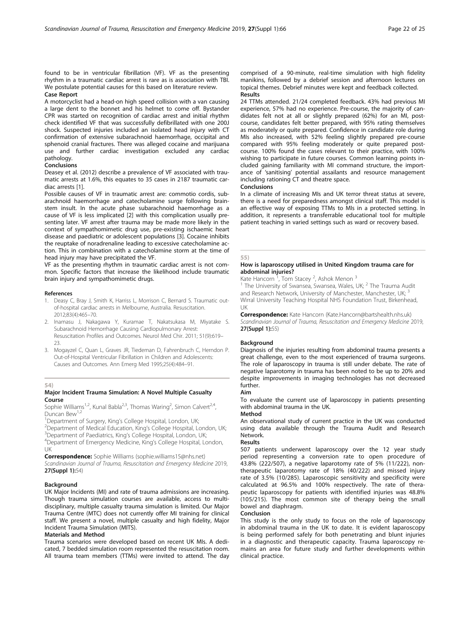found to be in ventricular fibrillation (VF). VF as the presenting rhythm in a traumatic cardiac arrest is rare as is association with TBI. We postulate potential causes for this based on literature review.

#### Case Report

A motorcyclist had a head-on high speed collision with a van causing a large dent to the bonnet and his helmet to come off. Bystander CPR was started on recognition of cardiac arrest and initial rhythm check identified VF that was successfully defibrillated with one 200J shock. Suspected injuries included an isolated head injury with CT confirmation of extensive subarachnoid haemorrhage, occipital and sphenoid cranial fractures. There was alleged cocaine and marijuana use and further cardiac investigation excluded any cardiac pathology.

#### Conclusions

Deasey et al. (2012) describe a prevalence of VF associated with traumatic arrests at 1.6%, this equates to 35 cases in 2187 traumatic cardiac arrests [1].

Possible causes of VF in traumatic arrest are: commotio cordis, subarachnoid haemorrhage and catecholamine surge following brainstem insult. In the acute phase subarachnoid haemorrhage as a cause of VF is less implicated [2] with this complication usually presenting later. VF arrest after trauma may be made more likely in the context of sympathomimetic drug use, pre-existing ischaemic heart disease and paediatric or adolescent populations [3]. Cocaine inhibits the reuptake of noradrenaline leading to excessive catecholamine action. This in combination with a catecholamine storm at the time of head injury may have precipitated the VF.

VF as the presenting rhythm in traumatic cardiac arrest is not common. Specific factors that increase the likelihood include traumatic brain injury and sympathomimetic drugs.

#### References

- 1. Deasy C, Bray J, Smith K, Harriss L, Morrison C, Bernard S. Traumatic outof-hospital cardiac arrests in Melbourne, Australia. Resuscitation. 2012;83(4):465–70.
- 2. Inamasu J, Nakagawa Y, Kuramae T, Nakatsukasa M, Miyatake S. Subarachnoid Hemorrhage Causing Cardiopulmonary Arrest: Resuscitation Profiles and Outcomes. Neurol Med Chir. 2011; 51(9):619– 23.
- 3. Mogayzel C, Quan L, Graves JR, Tiedeman D, Fahrenbruch C, Herndon P. Out-of-Hospital Ventricular Fibrillation in Children and Adolescents: Causes and Outcomes. Ann Emerg Med 1995;25(4):484–91.

#### 54)

#### Major Incident Trauma Simulation: A Novel Multiple Casualty Course

Sophie Williams<sup>1,2</sup>, Kunal Babla<sup>2,3</sup>, Thomas Waring<sup>2</sup>, Simon Calvert<sup>2,4</sup>, Duncan Bew<sup>1,2</sup>

<sup>1</sup> Department of Surgery, King's College Hospital, London, UK;<br><sup>2</sup> Department of Modical Education, King's College Hospital, L  $2$ Department of Medical Education, King's College Hospital, London, UK; <sup>3</sup>Department of Paediatrics, King's College Hospital, London, UK; Department of Emergency Medicine, King's College Hospital, London, UK

Correspondence: Sophie Williams (sophie.williams15@nhs.net) Scandinavian Journal of Trauma, Resuscitation and Emergency Medicine 2019, 27(Suppl 1):54)

# **Background**

UK Major Incidents (MI) and rate of trauma admissions are increasing. Though trauma simulation courses are available, access to multidisciplinary, multiple casualty trauma simulation is limited. Our Major Trauma Centre (MTC) does not currently offer MI training for clinical staff. We present a novel, multiple casualty and high fidelity, Major Incident Trauma Simulation (MITS).

# Materials and Method

Trauma scenarios were developed based on recent UK MIs. A dedicated, 7 bedded simulation room represented the resuscitation room. All trauma team members (TTMs) were invited to attend. The day

comprised of a 90-minute, real-time simulation with high fidelity manikins, followed by a debrief session and afternoon lectures on topical themes. Debrief minutes were kept and feedback collected. Results

24 TTMs attended. 21/24 completed feedback. 43% had previous MI experience, 57% had no experience. Pre-course, the majority of candidates felt not at all or slightly prepared (62%) for an MI, postcourse, candidates felt better prepared, with 95% rating themselves as moderately or quite prepared. Confidence in candidate role during MIs also increased, with 52% feeling slightly prepared pre-course compared with 95% feeling moderately or quite prepared postcourse. 100% found the cases relevant to their practice, with 100% wishing to participate in future courses. Common learning points included gaining familiarity with MI command structure, the importance of 'sanitising' potential assailants and resource management including rationing CT and theatre space.

Conclusions

In a climate of increasing MIs and UK terror threat status at severe, there is a need for preparedness amongst clinical staff. This model is an effective way of exposing TTMs to MIs in a protected setting. In addition, it represents a transferrable educational tool for multiple patient teaching in varied settings such as ward or recovery based.

#### 55)

#### How is laparoscopy utilised in United Kingdom trauma care for abdominal injuries?

Kate Hancorn<sup>1</sup>, Tom Stacey<sup>2</sup>, Ashok Menon<sup>3</sup>

<sup>1</sup> The University of Swansea, Swansea, Wales, UK;  $^2$  The Trauma Audit and Research Network, University of Manchester, Manchester, UK; <sup>3</sup> Wirral University Teaching Hospital NHS Foundation Trust, Birkenhead, UK

**Correspondence:** Kate Hancorn (Kate.Hancorn@bartshealth.nhs.uk) Scandinavian Journal of Trauma, Resuscitation and Emergency Medicine 2019, 27(Suppl 1):55)

#### Background

Diagnosis of the injuries resulting from abdominal trauma presents a great challenge, even to the most experienced of trauma surgeons. The role of laparoscopy in trauma is still under debate. The rate of negative laparotomy in trauma has been noted to be up to 20% and despite improvements in imaging technologies has not decreased further.

#### Aim

To evaluate the current use of laparoscopy in patients presenting with abdominal trauma in the UK.

# Method

An observational study of current practice in the UK was conducted using data available through the Trauma Audit and Research Network.

#### Results

507 patients underwent laparoscopy over the 12 year study period representing a conversion rate to open procedure of 43.8% (222/507), a negative laparotomy rate of 5% (11/222), nontherapeutic laparotomy rate of 18% (40/222) and missed injury rate of 3.5% (10/285). Laparoscopic sensitivity and specificity were calculated at 96.5% and 100% respectively. The rate of therapeutic laparoscopy for patients with identified injuries was 48.8% (105/215). The most common site of therapy being the small bowel and diaphragm.

#### Conclusion

This study is the only study to focus on the role of laparoscopy in abdominal trauma in the UK to date. It is evident laparoscopy is being performed safely for both penetrating and blunt injuries in a diagnostic and therapeutic capacity. Trauma laparoscopy remains an area for future study and further developments within clinical practice.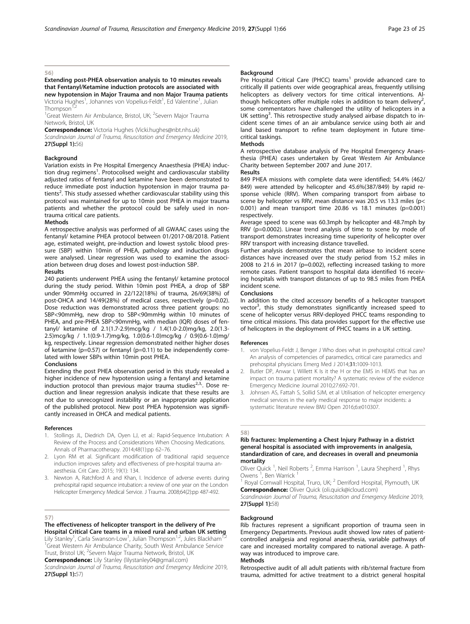# Extending post-PHEA observation analysis to 10 minutes reveals that Fentanyl/Ketamine induction protocols are associated with new hypotension in Major Trauma and non Major Trauma patients

Victoria Hughes<sup>1</sup>, Johannes von Vopelius-Feldt<sup>1</sup>, Ed Valentine<sup>1</sup>, Julian Thompson<sup>1</sup>

<sup>1</sup>Great Western Air Ambulance, Bristol, UK; <sup>2</sup>Severn Major Trauma Network, Bristol, UK

Correspondence: Victoria Hughes (Vicki.hughes@nbt.nhs.uk)

Scandinavian Journal of Trauma, Resuscitation and Emergency Medicine 2019, 27(Suppl 1):56)

# Background

Variation exists in Pre Hospital Emergency Anaesthesia (PHEA) induction drug regimens<sup>1</sup>. Protocolised weight and cardiovascular stability adjusted ratios of fentanyl and ketamine have been demonstrated to reduce immediate post induction hypotension in major trauma patients<sup>2</sup>. This study assessed whether cardiovascular stability using this protocol was maintained for up to 10min post PHEA in major trauma patients and whether the protocol could be safely used in nontrauma critical care patients.

#### Methods

A retrospective analysis was performed of all GWAAC cases using the fentanyl/ ketamine PHEA protocol between 01/2017-08/2018. Patient age, estimated weight, pre-induction and lowest systolic blood pressure (SBP) within 10min of PHEA, pathology and induction drugs were analysed. Linear regression was used to examine the association between drug doses and lowest post-induction SBP.

Results

240 patients underwent PHEA using the fentanyl/ ketamine protocol during the study period. Within 10min post PHEA, a drop of SBP under 90mmHg occurred in 22/122(18%) of trauma, 26/69(38%) of post-OHCA and 14/49(28%) of medical cases, respectively (p=0.02). Dose reduction was demonstrated across three patient groups: no SBP<90mmHg, new drop to SBP<90mmHg within 10 minutes of PHEA, and pre-PHEA SBP<90mmHg, with median (IQR) doses of fentanyl/ ketamine of 2.1(1.7-2.9)mcg/kg / 1.4(1.0-2.0)mg/kg, 2.0(1.3- 2.5)mcg/kg / 1.1(0.9-1.7)mg/kg, 1.0(0.6-1.0)mcg/kg / 0.9(0.6-1.0)mg/ kg, respectively. Linear regression demonstrated neither higher doses of ketamine (p=0.57) or fentanyl (p=0.11) to be independently correlated with lower SBPs within 10min post PHEA.

# Conclusions

Extending the post PHEA observation period in this study revealed a higher incidence of new hypotension using a fentanyl and ketamine induction protocol than previous major trauma studies<sup>2,3,</sup>. Dose reduction and linear regression analysis indicate that these results are not due to unrecognized instability or an inappropriate application of the published protocol. New post PHEA hypotension was significantly increased in OHCA and medical patients.

#### References

- 1. Stollings JL, Diedrich DA, Oyen LJ, et al.: Rapid-Sequence Intubation: A Review of the Process and Considerations When Choosing Medications. Annals of Pharmacotherapy. 2014;48(1):pp 62–76.
- 2. Lyon RM et al. Significant modification of traditional rapid sequence induction improves safety and effectiveness of pre-hospital trauma anaesthesia. Crit Care. 2015; 19(1): 134.
- 3. Newton A, Ratchford A and Khan, I. Incidence of adverse events during prehospital rapid sequence intubation: a review of one year on the London Helicopter Emergency Medical Service. J Trauma. 2008;64(2):pp 487-492.

#### 57)

# The effectiveness of helicopter transport in the delivery of Pre

Hospital Critical Care teams in a mixed rural and urban UK setting Lily Stanley<sup>1</sup>, Carla Swanson-Low<sup>1</sup>, Julian Thompson<sup>1,2</sup>, Jules Blackham<sup>1,2</sup> <sup>1</sup>Great Western Air Ambulance Charity, South West Ambulance Service Trust, Bristol UK; <sup>2</sup>Severn Major Trauma Network, Bristol, UK

Correspondence: Lily Stanley (lilystanley04@gmail.com)

Scandinavian Journal of Trauma, Resuscitation and Emergency Medicine 2019, 27(Suppl 1):57)

#### Background

Pre Hospital Critical Care (PHCC) teams<sup>1</sup> provide advanced care to critically ill patients over wide geographical areas, frequently utilising helicopters as delivery vectors for time critical interventions. Although helicopters offer multiple roles in addition to team delivery<sup>2</sup>, , some commentators have challenged the utility of helicopters in a UK setting<sup>3</sup>. This retrospective study analysed airbase dispatch to incident scene times of an air ambulance service using both air and land based transport to refine team deployment in future timecritical taskings.

#### Methods

A retrospective database analysis of Pre Hospital Emergency Anaesthesia (PHEA) cases undertaken by Great Western Air Ambulance Charity between September 2007 and June 2017.

# Results

849 PHEA missions with complete data were identified; 54.4% (462/ 849) were attended by helicopter and 45.6%(387/849) by rapid response vehicle (RRV). When comparing transport from airbase to scene by helicopter vs RRV, mean distance was 20.5 vs 13.3 miles (p< 0.001) and mean transport time 20.86 vs 18.1 minutes (p=0.001) respectively.

Average speed to scene was 60.3mph by helicopter and 48.7mph by RRV (p=0.0002). Linear trend analysis of time to scene by mode of transport demonstrates increasing time superiority of helicopter over RRV transport with increasing distance travelled.

Further analysis demonstrates that mean airbase to incident scene distances have increased over the study period from 15.2 miles in 2008 to 21.6 in 2017 (p=0.002), reflecting increased tasking to more remote cases. Patient transport to hospital data identified 16 receiving hospitals with transport distances of up to 98.5 miles from PHEA incident scene.

#### Conclusions

In addition to the cited accessory benefits of a helicopter transport vector<sup>3</sup>, this study demonstrates significantly increased speed to scene of helicopter versus RRV-deployed PHCC teams responding to time critical missions. This data provides support for the effective use of helicopters in the deployment of PHCC teams in a UK setting.

#### References

- 1. von Vopelius-Feldt J, Benger J Who does what in prehospital critical care? An analysis of competencies of paramedics, critical care paramedics and prehospital physicians Emerg Med J 2014;31:1009-1013.
- 2. Butler DP, Anwar I, Willett K Is it the H or the EMS in HEMS that has an impact on trauma patient mortality? A systematic review of the evidence Emergency Medicine Journal 2010;27:692-701.
- 3. Johnsen AS, Fattah S, Sollid SJM, et al Utilisation of helicopter emergency medical services in the early medical response to major incidents: a systematic literature review BMJ Open 2016;6:e010307.

#### 58)

#### Rib fractures: Implementing a Chest Injury Pathway in a district general hospital is associated with improvements in analgesia, standardization of care, and decreases in overall and pneumonia mortality

Oliver Quick<sup>1</sup>, Neil Roberts<sup>2</sup>, Emma Harrison<sup>1</sup>, Laura Shepherd<sup>1</sup>, Rhys Owens<sup>1</sup>, Ben Warrick<sup>1</sup>

Royal Cornwall Hospital, Truro, UK; <sup>2</sup> Derriford Hospital, Plymouth, UK Correspondence: Oliver Quick (oli.quick@icloud.com)

Scandinavian Journal of Trauma, Resuscitation and Emergency Medicine 2019, 27(Suppl 1):58)

#### Background

Rib fractures represent a significant proportion of trauma seen in Emergency Departments. Previous audit showed low rates of patientcontrolled analgesia and regional anaesthesia, variable pathways of care and increased mortality compared to national average. A pathway was introduced to improve care.

# Methods

Retrospective audit of all adult patients with rib/sternal fracture from trauma, admitted for active treatment to a district general hospital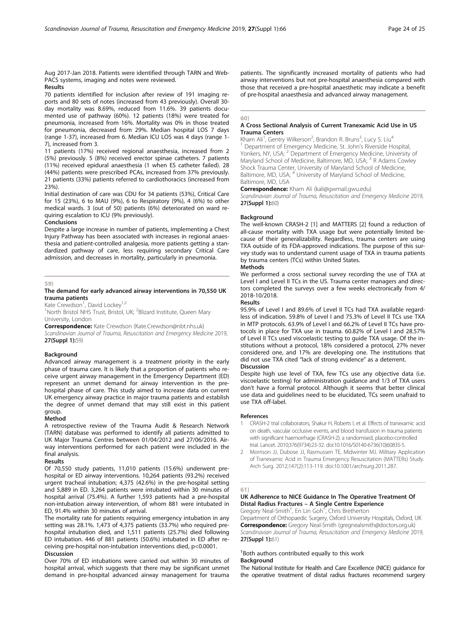Aug 2017-Jan 2018. Patients were identified through TARN and Web-PACS systems, imaging and notes were reviewed.

# Results

70 patients identified for inclusion after review of 191 imaging reports and 80 sets of notes (increased from 43 previously). Overall 30 day mortality was 8.69%, reduced from 11.6%. 39 patients documented use of pathway (60%). 12 patients (18%) were treated for pneumonia, increased from 16%. Mortality was 0% in those treated for pneumonia, decreased from 29%. Median hospital LOS 7 days (range 1-37), increased from 6. Median ICU LOS was 4 days (range 1- 7), increased from 3.

11 patients (17%) received regional anaesthesia, increased from 2 (5%) previously. 5 (8%) received erector spinae catheters. 7 patients (11%) received epidural anaesthesia (1 when ES catheter failed). 28 (44%) patients were prescribed PCAs, increased from 37% previously. 21 patients (33%) patients referred to cardiothoracics (increased from 23%).

Initial destination of care was CDU for 34 patients (53%), Critical Care for 15 (23%), 6 to MAU (9%), 6 to Respiratory (9%), 4 (6%) to other medical wards. 3 (out of 50) patients (6%) deteriorated on ward requiring escalation to ICU (9% previously).

#### Conclusions

Despite a large increase in number of patients, implementing a Chest Injury Pathway has been associated with increases in regional anaesthesia and patient-controlled analgesia, more patients getting a standardized pathway of care, less requiring secondary Critical Care admission, and decreases in mortality, particularly in pneumonia.

#### 59)

#### The demand for early advanced airway interventions in 70,550 UK trauma patients

Kate Crewdson<sup>1</sup>, David Lockey<sup>1,2</sup>

<sup>1</sup>North Bristol NHS Trust, Bristol, UK; <sup>2</sup>Blizard Institute, Queen Mary University, London

Correspondence: Kate Crewdson (Kate.Crewdson@nbt.nhs.uk)

Scandinavian Journal of Trauma, Resuscitation and Emergency Medicine 2019, 27(Suppl 1):59)

#### **Background**

Advanced airway management is a treatment priority in the early phase of trauma care. It is likely that a proportion of patients who receive urgent airway management in the Emergency Department (ED) represent an unmet demand for airway intervention in the prehospital phase of care. This study aimed to increase data on current UK emergency airway practice in major trauma patients and establish the degree of unmet demand that may still exist in this patient group.

#### **Method**

A retrospective review of the Trauma Audit & Research Network (TARN) database was performed to identify all patients admitted to UK Major Trauma Centres between 01/04/2012 and 27/06/2016. Airway interventions performed for each patient were included in the final analysis.

#### Results

Of 70,550 study patients, 11,010 patients (15.6%) underwent prehospital or ED airway interventions. 10,264 patients (93.2%) received urgent tracheal intubation; 4,375 (42.6%) in the pre-hospital setting and 5,889 in ED. 3,264 patients were intubated within 30 minutes of hospital arrival (75.4%). A further 1,593 patients had a pre-hospital non-intubation airway intervention, of whom 881 were intubated in ED, 91.4% within 30 minutes of arrival.

The mortality rate for patients requiring emergency intubation in any setting was 28.1%. 1,473 of 4,375 patients (33.7%) who required prehospital intubation died, and 1,511 patients (25.7%) died following ED intubation. 446 of 881 patients (50.6%) intubated in ED after receiving pre-hospital non-intubation interventions died, p<0.0001. Discussion

Over 70% of ED intubations were carried out within 30 minutes of hospital arrival, which suggests that there may be significant unmet demand in pre-hospital advanced airway management for trauma patients. The significantly increased mortality of patients who had airway interventions but not pre-hospital anaesthesia compared with those that received a pre-hospital anaesthetic may indicate a benefit of pre-hospital anaesthesia and advanced airway management.

#### 60)

# A Cross Sectional Analysis of Current Tranexamic Acid Use in US Trauma Centers

Kham Ali<sup>1</sup>, Gentry Wilkerson<sup>2</sup>, Brandon R. Bruns<sup>3</sup>, Lucy S. Liu<sup>4</sup> Department of Emergency Medicine, St. John's Riverside Hospital, Yonkers, NY, USA; <sup>2</sup> Department of Emergency Medicine, University of Maryland School of Medicine, Baltimore, MD, USA; <sup>3</sup> R Adams Cowley Shock Trauma Center, University of Maryland School of Medicine, Baltimore, MD, USA; <sup>4</sup> University of Maryland School of Medicine,

Baltimore, MD, USA Correspondence: Kham Ali (kali@gwmail.gwu.edu)

Scandinavian Journal of Trauma, Resuscitation and Emergency Medicine 2019, 27(Suppl 1):60)

#### Background

The well-known CRASH-2 [1] and MATTERS [2] found a reduction of all-cause mortality with TXA usage but were potentially limited because of their generalizability. Regardless, trauma centers are using TXA outside of its FDA-approved indications. The purpose of this survey study was to understand current usage of TXA in trauma patients by trauma centers (TCs) within United States.

#### Methods

We performed a cross sectional survey recording the use of TXA at Level I and Level II TCs in the US. Trauma center managers and directors completed the surveys over a few weeks electronically from 4/ 2018-10/2018.

#### Results

95.9% of Level I and 89.6% of Level II TCs had TXA available regardless of indication. 59.8% of Level I and 75.3% of Level II TCs use TXA in MTP protocols. 63.9% of Level I and 66.2% of Level II TCs have protocols in place for TXA use in trauma. 60.82% of Level I and 28.57% of Level II TCs used viscoelastic testing to guide TXA usage. Of the institutions without a protocol, 18% considered a protocol, 27% never considered one, and 17% are developing one. The institutions that did not use TXA cited "lack of strong evidence" as a deterrent.

# Discussion

Despite high use level of TXA, few TCs use any objective data (i.e. viscoelastic testing) for administration guidance and 1/3 of TXA users don't have a formal protocol. Although it seems that better clinical use data and guidelines need to be elucidated, TCs seem unafraid to use TXA off-label.

#### References

- 1 CRASH-2 trial collaborators, Shakur H, Roberts I, et al. Effects of tranexamic acid on death, vascular occlusive events, and blood transfusion in trauma patients with significant haemorrhage (CRASH-2): a randomised, placebo-controlled trial. Lancet. 2010;376(9734):23-32. doi:10.1016/S0140-6736(10)60835-5.
- 2 Morrison JJ, Dubose JJ, Rasmussen TE, Midwinter MJ. Military Application of Tranexamic Acid in Trauma Emergency Resuscitation (MATTERs) Study. Arch Surg. 2012;147(2):113-119. doi:10.1001/archsurg.2011.287.

#### 61)

#### UK Adherence to NICE Guidance In The Operative Treatment Of Distal Radius Fractures – A Single Centre Experience Gregory Neal-Smith† , En Lin Goh† , Chris Bretherton

Department of Orthopaedic Surgery, Oxford University Hospitals, Oxford, UK Correspondence: Gregory Neal-Smith (gregnealsmith@doctors.org.uk) Scandinavian Journal of Trauma, Resuscitation and Emergency Medicine 2019, 27(Suppl 1):61)

# † Both authors contributed equally to this work Background

The National Institute for Health and Care Excellence (NICE) guidance for the operative treatment of distal radius fractures recommend surgery